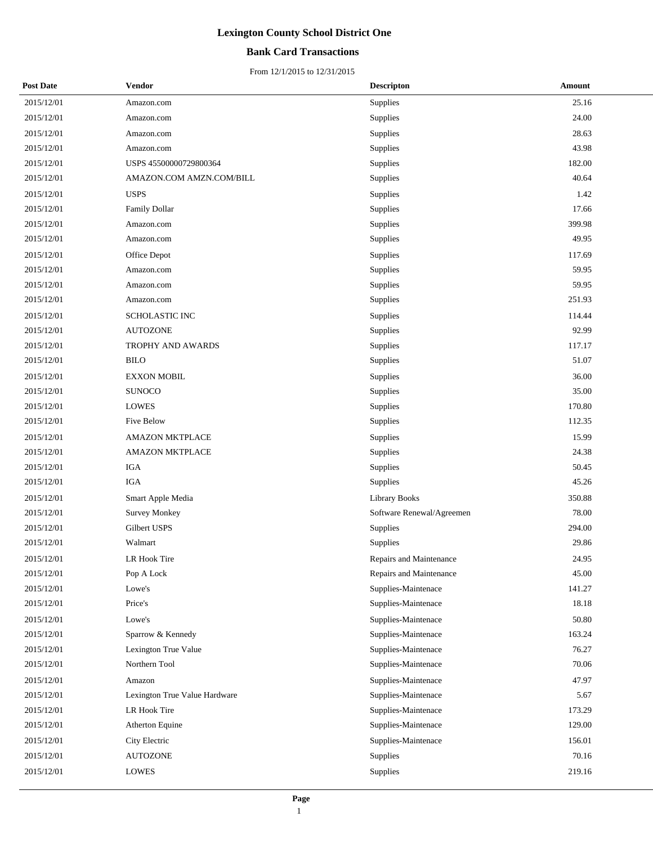## **Bank Card Transactions**

| <b>Post Date</b> | <b>Vendor</b>                 | <b>Descripton</b>         | Amount |
|------------------|-------------------------------|---------------------------|--------|
| 2015/12/01       | Amazon.com                    | Supplies                  | 25.16  |
| 2015/12/01       | Amazon.com                    | Supplies                  | 24.00  |
| 2015/12/01       | Amazon.com                    | Supplies                  | 28.63  |
| 2015/12/01       | Amazon.com                    | Supplies                  | 43.98  |
| 2015/12/01       | USPS 45500000729800364        | Supplies                  | 182.00 |
| 2015/12/01       | AMAZON.COM AMZN.COM/BILL      | Supplies                  | 40.64  |
| 2015/12/01       | <b>USPS</b>                   | Supplies                  | 1.42   |
| 2015/12/01       | <b>Family Dollar</b>          | Supplies                  | 17.66  |
| 2015/12/01       | Amazon.com                    | Supplies                  | 399.98 |
| 2015/12/01       | Amazon.com                    | Supplies                  | 49.95  |
| 2015/12/01       | Office Depot                  | Supplies                  | 117.69 |
| 2015/12/01       | Amazon.com                    | Supplies                  | 59.95  |
| 2015/12/01       | Amazon.com                    | Supplies                  | 59.95  |
| 2015/12/01       | Amazon.com                    | Supplies                  | 251.93 |
| 2015/12/01       | SCHOLASTIC INC                | Supplies                  | 114.44 |
| 2015/12/01       | <b>AUTOZONE</b>               | Supplies                  | 92.99  |
| 2015/12/01       | TROPHY AND AWARDS             | Supplies                  | 117.17 |
| 2015/12/01       | <b>BILO</b>                   | Supplies                  | 51.07  |
| 2015/12/01       | <b>EXXON MOBIL</b>            | Supplies                  | 36.00  |
| 2015/12/01       | <b>SUNOCO</b>                 | Supplies                  | 35.00  |
| 2015/12/01       | <b>LOWES</b>                  | Supplies                  | 170.80 |
| 2015/12/01       | Five Below                    | Supplies                  | 112.35 |
| 2015/12/01       | <b>AMAZON MKTPLACE</b>        | Supplies                  | 15.99  |
| 2015/12/01       | <b>AMAZON MKTPLACE</b>        | Supplies                  | 24.38  |
| 2015/12/01       | <b>IGA</b>                    | Supplies                  | 50.45  |
| 2015/12/01       | <b>IGA</b>                    | Supplies                  | 45.26  |
| 2015/12/01       | Smart Apple Media             | <b>Library Books</b>      | 350.88 |
| 2015/12/01       | <b>Survey Monkey</b>          | Software Renewal/Agreemen | 78.00  |
| 2015/12/01       | Gilbert USPS                  | Supplies                  | 294.00 |
| 2015/12/01       | Walmart                       | Supplies                  | 29.86  |
| 2015/12/01       | LR Hook Tire                  | Repairs and Maintenance   | 24.95  |
| 2015/12/01       | Pop A Lock                    | Repairs and Maintenance   | 45.00  |
| 2015/12/01       | Lowe's                        | Supplies-Maintenace       | 141.27 |
| 2015/12/01       | Price's                       | Supplies-Maintenace       | 18.18  |
| 2015/12/01       | Lowe's                        | Supplies-Maintenace       | 50.80  |
| 2015/12/01       | Sparrow & Kennedy             | Supplies-Maintenace       | 163.24 |
| 2015/12/01       | Lexington True Value          | Supplies-Maintenace       | 76.27  |
| 2015/12/01       | Northern Tool                 | Supplies-Maintenace       | 70.06  |
| 2015/12/01       | Amazon                        | Supplies-Maintenace       | 47.97  |
| 2015/12/01       | Lexington True Value Hardware | Supplies-Maintenace       | 5.67   |
| 2015/12/01       | LR Hook Tire                  | Supplies-Maintenace       | 173.29 |
| 2015/12/01       | Atherton Equine               | Supplies-Maintenace       | 129.00 |
| 2015/12/01       | City Electric                 | Supplies-Maintenace       | 156.01 |
| 2015/12/01       | <b>AUTOZONE</b>               | Supplies                  | 70.16  |
| 2015/12/01       | <b>LOWES</b>                  | Supplies                  | 219.16 |
|                  |                               |                           |        |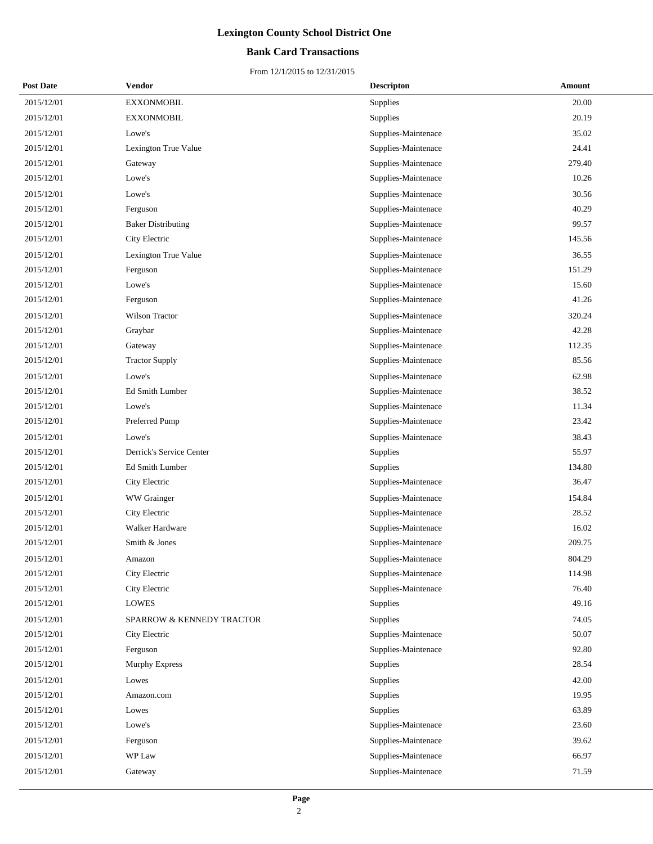## **Bank Card Transactions**

| <b>Post Date</b> | Vendor                    | <b>Descripton</b>   | Amount |
|------------------|---------------------------|---------------------|--------|
| 2015/12/01       | <b>EXXONMOBIL</b>         | Supplies            | 20.00  |
| 2015/12/01       | <b>EXXONMOBIL</b>         | Supplies            | 20.19  |
| 2015/12/01       | Lowe's                    | Supplies-Maintenace | 35.02  |
| 2015/12/01       | Lexington True Value      | Supplies-Maintenace | 24.41  |
| 2015/12/01       | Gateway                   | Supplies-Maintenace | 279.40 |
| 2015/12/01       | Lowe's                    | Supplies-Maintenace | 10.26  |
| 2015/12/01       | Lowe's                    | Supplies-Maintenace | 30.56  |
| 2015/12/01       | Ferguson                  | Supplies-Maintenace | 40.29  |
| 2015/12/01       | <b>Baker Distributing</b> | Supplies-Maintenace | 99.57  |
| 2015/12/01       | City Electric             | Supplies-Maintenace | 145.56 |
| 2015/12/01       | Lexington True Value      | Supplies-Maintenace | 36.55  |
| 2015/12/01       | Ferguson                  | Supplies-Maintenace | 151.29 |
| 2015/12/01       | Lowe's                    | Supplies-Maintenace | 15.60  |
| 2015/12/01       | Ferguson                  | Supplies-Maintenace | 41.26  |
| 2015/12/01       | Wilson Tractor            | Supplies-Maintenace | 320.24 |
| 2015/12/01       | Graybar                   | Supplies-Maintenace | 42.28  |
| 2015/12/01       | Gateway                   | Supplies-Maintenace | 112.35 |
| 2015/12/01       | <b>Tractor Supply</b>     | Supplies-Maintenace | 85.56  |
| 2015/12/01       | Lowe's                    | Supplies-Maintenace | 62.98  |
| 2015/12/01       | Ed Smith Lumber           | Supplies-Maintenace | 38.52  |
| 2015/12/01       | Lowe's                    | Supplies-Maintenace | 11.34  |
| 2015/12/01       | Preferred Pump            | Supplies-Maintenace | 23.42  |
| 2015/12/01       | Lowe's                    | Supplies-Maintenace | 38.43  |
| 2015/12/01       | Derrick's Service Center  | Supplies            | 55.97  |
| 2015/12/01       | Ed Smith Lumber           | Supplies            | 134.80 |
| 2015/12/01       | City Electric             | Supplies-Maintenace | 36.47  |
| 2015/12/01       | WW Grainger               | Supplies-Maintenace | 154.84 |
| 2015/12/01       | City Electric             | Supplies-Maintenace | 28.52  |
| 2015/12/01       | Walker Hardware           | Supplies-Maintenace | 16.02  |
| 2015/12/01       | Smith & Jones             | Supplies-Maintenace | 209.75 |
| 2015/12/01       | Amazon                    | Supplies-Maintenace | 804.29 |
| 2015/12/01       | City Electric             | Supplies-Maintenace | 114.98 |
| 2015/12/01       | City Electric             | Supplies-Maintenace | 76.40  |
| 2015/12/01       | <b>LOWES</b>              | Supplies            | 49.16  |
| 2015/12/01       | SPARROW & KENNEDY TRACTOR | Supplies            | 74.05  |
| 2015/12/01       | City Electric             | Supplies-Maintenace | 50.07  |
| 2015/12/01       | Ferguson                  | Supplies-Maintenace | 92.80  |
| 2015/12/01       | <b>Murphy Express</b>     | Supplies            | 28.54  |
| 2015/12/01       | Lowes                     | Supplies            | 42.00  |
| 2015/12/01       | Amazon.com                | Supplies            | 19.95  |
| 2015/12/01       | Lowes                     | Supplies            | 63.89  |
| 2015/12/01       | Lowe's                    | Supplies-Maintenace | 23.60  |
| 2015/12/01       | Ferguson                  | Supplies-Maintenace | 39.62  |
| 2015/12/01       | WP Law                    | Supplies-Maintenace | 66.97  |
| 2015/12/01       | Gateway                   | Supplies-Maintenace | 71.59  |
|                  |                           |                     |        |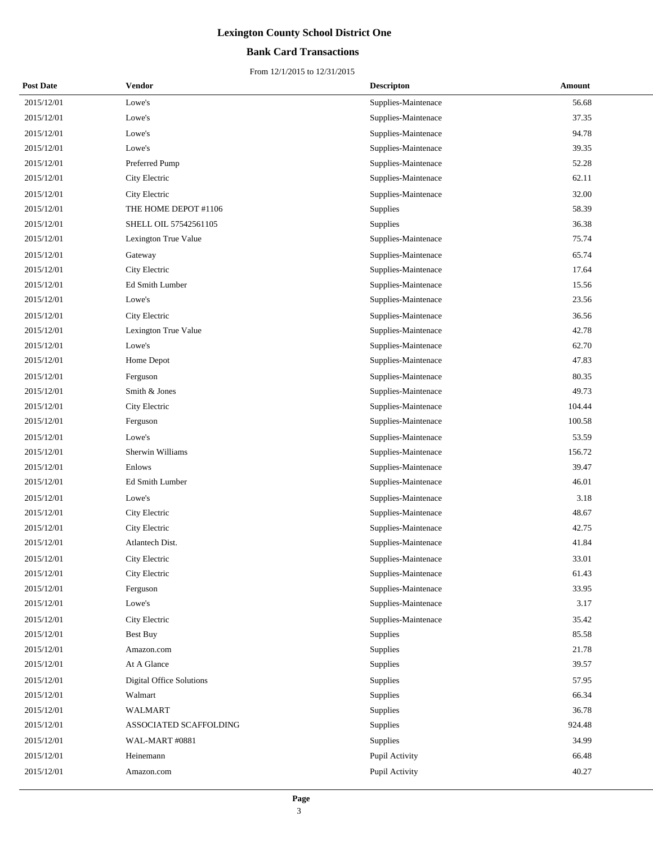## **Bank Card Transactions**

| <b>Post Date</b> | <b>Vendor</b>            | <b>Descripton</b>   | Amount |
|------------------|--------------------------|---------------------|--------|
| 2015/12/01       | Lowe's                   | Supplies-Maintenace | 56.68  |
| 2015/12/01       | Lowe's                   | Supplies-Maintenace | 37.35  |
| 2015/12/01       | Lowe's                   | Supplies-Maintenace | 94.78  |
| 2015/12/01       | Lowe's                   | Supplies-Maintenace | 39.35  |
| 2015/12/01       | Preferred Pump           | Supplies-Maintenace | 52.28  |
| 2015/12/01       | City Electric            | Supplies-Maintenace | 62.11  |
| 2015/12/01       | City Electric            | Supplies-Maintenace | 32.00  |
| 2015/12/01       | THE HOME DEPOT #1106     | Supplies            | 58.39  |
| 2015/12/01       | SHELL OIL 57542561105    | Supplies            | 36.38  |
| 2015/12/01       | Lexington True Value     | Supplies-Maintenace | 75.74  |
| 2015/12/01       | Gateway                  | Supplies-Maintenace | 65.74  |
| 2015/12/01       | City Electric            | Supplies-Maintenace | 17.64  |
| 2015/12/01       | Ed Smith Lumber          | Supplies-Maintenace | 15.56  |
| 2015/12/01       | Lowe's                   | Supplies-Maintenace | 23.56  |
| 2015/12/01       | City Electric            | Supplies-Maintenace | 36.56  |
| 2015/12/01       | Lexington True Value     | Supplies-Maintenace | 42.78  |
| 2015/12/01       | Lowe's                   | Supplies-Maintenace | 62.70  |
| 2015/12/01       | Home Depot               | Supplies-Maintenace | 47.83  |
| 2015/12/01       | Ferguson                 | Supplies-Maintenace | 80.35  |
| 2015/12/01       | Smith & Jones            | Supplies-Maintenace | 49.73  |
| 2015/12/01       | City Electric            | Supplies-Maintenace | 104.44 |
| 2015/12/01       | Ferguson                 | Supplies-Maintenace | 100.58 |
| 2015/12/01       | Lowe's                   | Supplies-Maintenace | 53.59  |
| 2015/12/01       | Sherwin Williams         | Supplies-Maintenace | 156.72 |
| 2015/12/01       | Enlows                   | Supplies-Maintenace | 39.47  |
| 2015/12/01       | Ed Smith Lumber          | Supplies-Maintenace | 46.01  |
| 2015/12/01       | Lowe's                   | Supplies-Maintenace | 3.18   |
| 2015/12/01       | City Electric            | Supplies-Maintenace | 48.67  |
| 2015/12/01       | City Electric            | Supplies-Maintenace | 42.75  |
| 2015/12/01       | Atlantech Dist.          | Supplies-Maintenace | 41.84  |
| 2015/12/01       | City Electric            | Supplies-Maintenace | 33.01  |
| 2015/12/01       | City Electric            | Supplies-Maintenace | 61.43  |
| 2015/12/01       | Ferguson                 | Supplies-Maintenace | 33.95  |
| 2015/12/01       | Lowe's                   | Supplies-Maintenace | 3.17   |
| 2015/12/01       | City Electric            | Supplies-Maintenace | 35.42  |
| 2015/12/01       | <b>Best Buy</b>          | Supplies            | 85.58  |
| 2015/12/01       | Amazon.com               | Supplies            | 21.78  |
| 2015/12/01       | At A Glance              | Supplies            | 39.57  |
| 2015/12/01       | Digital Office Solutions | Supplies            | 57.95  |
| 2015/12/01       | Walmart                  | Supplies            | 66.34  |
| 2015/12/01       | WALMART                  | Supplies            | 36.78  |
| 2015/12/01       | ASSOCIATED SCAFFOLDING   | Supplies            | 924.48 |
| 2015/12/01       | WAL-MART #0881           | Supplies            | 34.99  |
| 2015/12/01       | Heinemann                | Pupil Activity      | 66.48  |
| 2015/12/01       | Amazon.com               | Pupil Activity      | 40.27  |
|                  |                          |                     |        |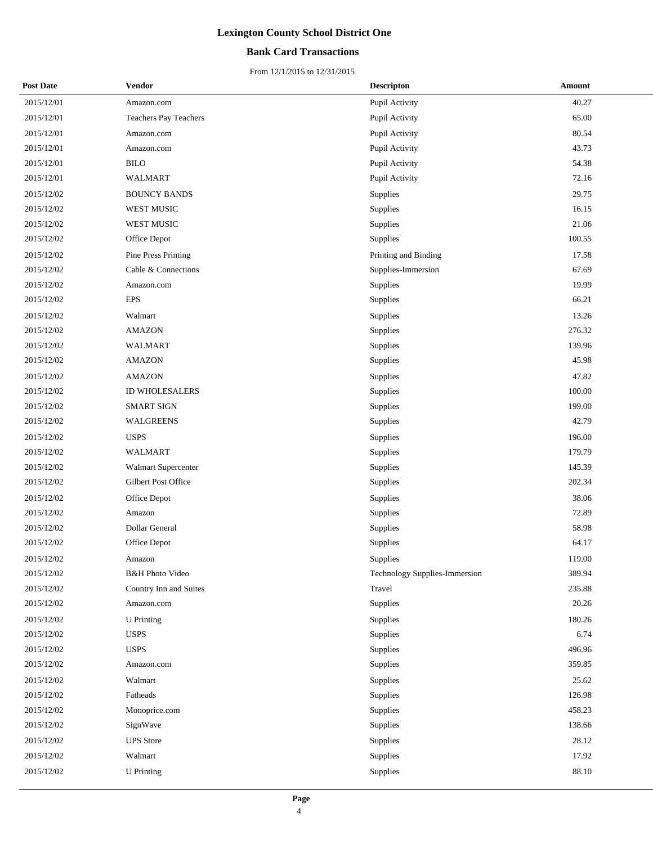## **Bank Card Transactions**

| <b>Post Date</b> | <b>Vendor</b>              | <b>Descripton</b>             | <b>Amount</b> |
|------------------|----------------------------|-------------------------------|---------------|
| 2015/12/01       | Amazon.com                 | Pupil Activity                | 40.27         |
| 2015/12/01       | Teachers Pay Teachers      | Pupil Activity                | 65.00         |
| 2015/12/01       | Amazon.com                 | Pupil Activity                | 80.54         |
| 2015/12/01       | Amazon.com                 | Pupil Activity                | 43.73         |
| 2015/12/01       | <b>BILO</b>                | Pupil Activity                | 54.38         |
| 2015/12/01       | <b>WALMART</b>             | Pupil Activity                | 72.16         |
| 2015/12/02       | <b>BOUNCY BANDS</b>        | Supplies                      | 29.75         |
| 2015/12/02       | <b>WEST MUSIC</b>          | Supplies                      | 16.15         |
| 2015/12/02       | WEST MUSIC                 | Supplies                      | 21.06         |
| 2015/12/02       | Office Depot               | Supplies                      | 100.55        |
| 2015/12/02       | Pine Press Printing        | Printing and Binding          | 17.58         |
| 2015/12/02       | Cable & Connections        | Supplies-Immersion            | 67.69         |
| 2015/12/02       | Amazon.com                 | <b>Supplies</b>               | 19.99         |
| 2015/12/02       | <b>EPS</b>                 | Supplies                      | 66.21         |
| 2015/12/02       | Walmart                    | Supplies                      | 13.26         |
| 2015/12/02       | <b>AMAZON</b>              | Supplies                      | 276.32        |
| 2015/12/02       | WALMART                    | Supplies                      | 139.96        |
| 2015/12/02       | <b>AMAZON</b>              | Supplies                      | 45.98         |
| 2015/12/02       | <b>AMAZON</b>              | Supplies                      | 47.82         |
| 2015/12/02       | <b>ID WHOLESALERS</b>      | Supplies                      | 100.00        |
| 2015/12/02       | SMART SIGN                 | Supplies                      | 199.00        |
| 2015/12/02       | <b>WALGREENS</b>           | Supplies                      | 42.79         |
| 2015/12/02       | <b>USPS</b>                | Supplies                      | 196.00        |
| 2015/12/02       | <b>WALMART</b>             | Supplies                      | 179.79        |
| 2015/12/02       | Walmart Supercenter        | Supplies                      | 145.39        |
| 2015/12/02       | Gilbert Post Office        | Supplies                      | 202.34        |
| 2015/12/02       | Office Depot               | Supplies                      | 38.06         |
| 2015/12/02       | Amazon                     | Supplies                      | 72.89         |
| 2015/12/02       | Dollar General             | Supplies                      | 58.98         |
| 2015/12/02       | Office Depot               | Supplies                      | 64.17         |
| 2015/12/02       | Amazon                     | Supplies                      | 119.00        |
| 2015/12/02       | <b>B&amp;H Photo Video</b> | Technology Supplies-Immersion | 389.94        |
| 2015/12/02       | Country Inn and Suites     | Travel                        | 235.88        |
| 2015/12/02       | Amazon.com                 | Supplies                      | 20.26         |
| 2015/12/02       | U Printing                 | Supplies                      | 180.26        |
| 2015/12/02       | <b>USPS</b>                | Supplies                      | 6.74          |
| 2015/12/02       | <b>USPS</b>                | Supplies                      | 496.96        |
| 2015/12/02       | Amazon.com                 | Supplies                      | 359.85        |
| 2015/12/02       | Walmart                    | Supplies                      | 25.62         |
| 2015/12/02       | Fatheads                   | Supplies                      | 126.98        |
| 2015/12/02       | Monoprice.com              | Supplies                      | 458.23        |
| 2015/12/02       | SignWave                   | Supplies                      | 138.66        |
| 2015/12/02       | <b>UPS</b> Store           | Supplies                      | 28.12         |
| 2015/12/02       | Walmart                    | Supplies                      | 17.92         |
| 2015/12/02       | <b>U</b> Printing          | Supplies                      | 88.10         |
|                  |                            |                               |               |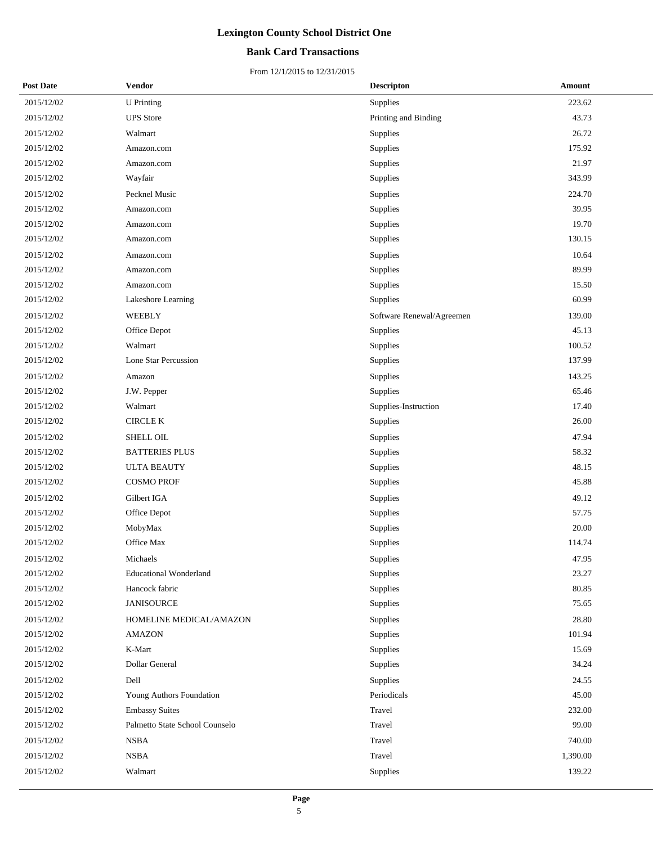## **Bank Card Transactions**

| <b>Post Date</b> | Vendor                         | <b>Descripton</b>         | <b>Amount</b> |
|------------------|--------------------------------|---------------------------|---------------|
| 2015/12/02       | <b>U</b> Printing              | Supplies                  | 223.62        |
| 2015/12/02       | <b>UPS</b> Store               | Printing and Binding      | 43.73         |
| 2015/12/02       | Walmart                        | Supplies                  | 26.72         |
| 2015/12/02       | Amazon.com                     | Supplies                  | 175.92        |
| 2015/12/02       | Amazon.com                     | Supplies                  | 21.97         |
| 2015/12/02       | Wayfair                        | Supplies                  | 343.99        |
| 2015/12/02       | Pecknel Music                  | Supplies                  | 224.70        |
| 2015/12/02       | Amazon.com                     | Supplies                  | 39.95         |
| 2015/12/02       | Amazon.com                     | Supplies                  | 19.70         |
| 2015/12/02       | Amazon.com                     | Supplies                  | 130.15        |
| 2015/12/02       | Amazon.com                     | Supplies                  | 10.64         |
| 2015/12/02       | Amazon.com                     | Supplies                  | 89.99         |
| 2015/12/02       | Amazon.com                     | Supplies                  | 15.50         |
| 2015/12/02       | Lakeshore Learning             | Supplies                  | 60.99         |
| 2015/12/02       | WEEBLY                         | Software Renewal/Agreemen | 139.00        |
| 2015/12/02       | Office Depot                   | Supplies                  | 45.13         |
| 2015/12/02       | Walmart                        | Supplies                  | 100.52        |
| 2015/12/02       | Lone Star Percussion           | Supplies                  | 137.99        |
| 2015/12/02       | Amazon                         | Supplies                  | 143.25        |
| 2015/12/02       | J.W. Pepper                    | Supplies                  | 65.46         |
| 2015/12/02       | Walmart                        | Supplies-Instruction      | 17.40         |
| 2015/12/02       | <b>CIRCLE K</b>                | Supplies                  | 26.00         |
| 2015/12/02       | SHELL OIL                      | Supplies                  | 47.94         |
| 2015/12/02       | <b>BATTERIES PLUS</b>          | Supplies                  | 58.32         |
| 2015/12/02       | <b>ULTA BEAUTY</b>             | Supplies                  | 48.15         |
| 2015/12/02       | <b>COSMO PROF</b>              | Supplies                  | 45.88         |
| 2015/12/02       | Gilbert IGA                    | Supplies                  | 49.12         |
| 2015/12/02       | Office Depot                   | Supplies                  | 57.75         |
| 2015/12/02       | MobyMax                        | Supplies                  | 20.00         |
| 2015/12/02       | Office Max                     | Supplies                  | 114.74        |
| 2015/12/02       | Michaels                       | Supplies                  | 47.95         |
| 2015/12/02       | <b>Educational Wonderland</b>  | Supplies                  | 23.27         |
| 2015/12/02       | Hancock fabric                 | Supplies                  | 80.85         |
| 2015/12/02       | <b>JANISOURCE</b>              | Supplies                  | 75.65         |
| 2015/12/02       | HOMELINE MEDICAL/AMAZON        | Supplies                  | 28.80         |
| 2015/12/02       | <b>AMAZON</b>                  | Supplies                  | 101.94        |
| 2015/12/02       | K-Mart                         | Supplies                  | 15.69         |
| 2015/12/02       | Dollar General                 | Supplies                  | 34.24         |
| 2015/12/02       | Dell                           | Supplies                  | 24.55         |
| 2015/12/02       | Young Authors Foundation       | Periodicals               | 45.00         |
| 2015/12/02       | <b>Embassy Suites</b>          | Travel                    | 232.00        |
| 2015/12/02       | Palmetto State School Counselo | Travel                    | 99.00         |
| 2015/12/02       | <b>NSBA</b>                    | Travel                    | 740.00        |
| 2015/12/02       | <b>NSBA</b>                    | Travel                    | 1,390.00      |
| 2015/12/02       | Walmart                        | Supplies                  | 139.22        |
|                  |                                |                           |               |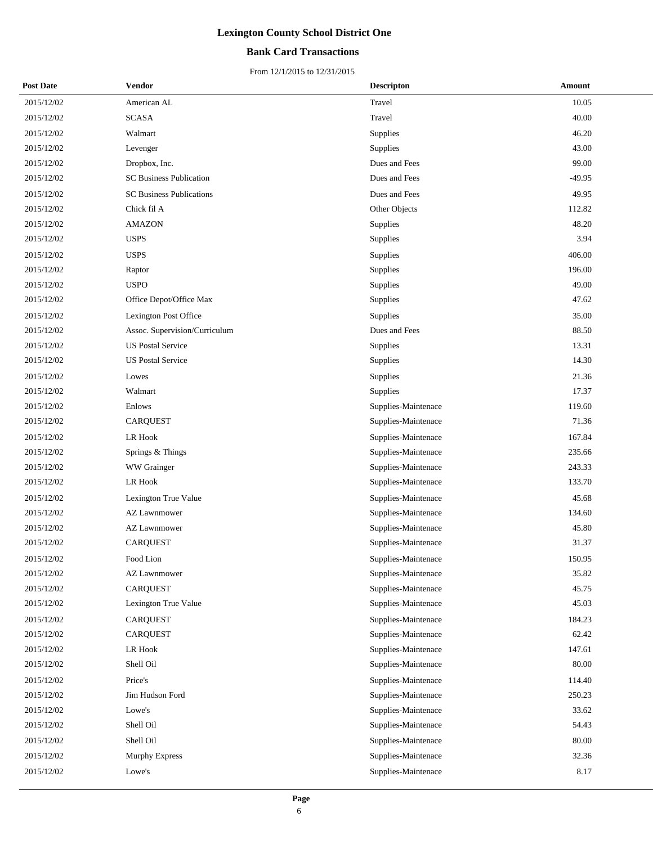## **Bank Card Transactions**

| <b>Post Date</b> | <b>Vendor</b>                   | <b>Descripton</b>   | Amount |
|------------------|---------------------------------|---------------------|--------|
| 2015/12/02       | American AL                     | Travel              | 10.05  |
| 2015/12/02       | <b>SCASA</b>                    | Travel              | 40.00  |
| 2015/12/02       | Walmart                         | Supplies            | 46.20  |
| 2015/12/02       | Levenger                        | Supplies            | 43.00  |
| 2015/12/02       | Dropbox, Inc.                   | Dues and Fees       | 99.00  |
| 2015/12/02       | <b>SC Business Publication</b>  | Dues and Fees       | -49.95 |
| 2015/12/02       | <b>SC Business Publications</b> | Dues and Fees       | 49.95  |
| 2015/12/02       | Chick fil A                     | Other Objects       | 112.82 |
| 2015/12/02       | <b>AMAZON</b>                   | Supplies            | 48.20  |
| 2015/12/02       | <b>USPS</b>                     | Supplies            | 3.94   |
| 2015/12/02       | <b>USPS</b>                     | Supplies            | 406.00 |
| 2015/12/02       | Raptor                          | Supplies            | 196.00 |
| 2015/12/02       | <b>USPO</b>                     | Supplies            | 49.00  |
| 2015/12/02       | Office Depot/Office Max         | Supplies            | 47.62  |
| 2015/12/02       | Lexington Post Office           | Supplies            | 35.00  |
| 2015/12/02       | Assoc. Supervision/Curriculum   | Dues and Fees       | 88.50  |
| 2015/12/02       | <b>US Postal Service</b>        | Supplies            | 13.31  |
| 2015/12/02       | <b>US Postal Service</b>        | Supplies            | 14.30  |
| 2015/12/02       | Lowes                           | Supplies            | 21.36  |
| 2015/12/02       | Walmart                         | Supplies            | 17.37  |
| 2015/12/02       | Enlows                          | Supplies-Maintenace | 119.60 |
| 2015/12/02       | <b>CARQUEST</b>                 | Supplies-Maintenace | 71.36  |
| 2015/12/02       | LR Hook                         | Supplies-Maintenace | 167.84 |
| 2015/12/02       | Springs & Things                | Supplies-Maintenace | 235.66 |
| 2015/12/02       | WW Grainger                     | Supplies-Maintenace | 243.33 |
| 2015/12/02       | LR Hook                         | Supplies-Maintenace | 133.70 |
| 2015/12/02       | Lexington True Value            | Supplies-Maintenace | 45.68  |
| 2015/12/02       | <b>AZ Lawnmower</b>             | Supplies-Maintenace | 134.60 |
| 2015/12/02       | <b>AZ Lawnmower</b>             | Supplies-Maintenace | 45.80  |
| 2015/12/02       | <b>CARQUEST</b>                 | Supplies-Maintenace | 31.37  |
| 2015/12/02       | Food Lion                       | Supplies-Maintenace | 150.95 |
| 2015/12/02       | <b>AZ Lawnmower</b>             | Supplies-Maintenace | 35.82  |
| 2015/12/02       | <b>CARQUEST</b>                 | Supplies-Maintenace | 45.75  |
| 2015/12/02       | Lexington True Value            | Supplies-Maintenace | 45.03  |
| 2015/12/02       | <b>CARQUEST</b>                 | Supplies-Maintenace | 184.23 |
| 2015/12/02       | <b>CARQUEST</b>                 | Supplies-Maintenace | 62.42  |
| 2015/12/02       | LR Hook                         | Supplies-Maintenace | 147.61 |
| 2015/12/02       | Shell Oil                       | Supplies-Maintenace | 80.00  |
| 2015/12/02       | Price's                         | Supplies-Maintenace | 114.40 |
| 2015/12/02       | Jim Hudson Ford                 | Supplies-Maintenace | 250.23 |
| 2015/12/02       | Lowe's                          | Supplies-Maintenace | 33.62  |
| 2015/12/02       | Shell Oil                       | Supplies-Maintenace | 54.43  |
| 2015/12/02       | Shell Oil                       | Supplies-Maintenace | 80.00  |
| 2015/12/02       | Murphy Express                  | Supplies-Maintenace | 32.36  |
| 2015/12/02       | Lowe's                          | Supplies-Maintenace | 8.17   |
|                  |                                 |                     |        |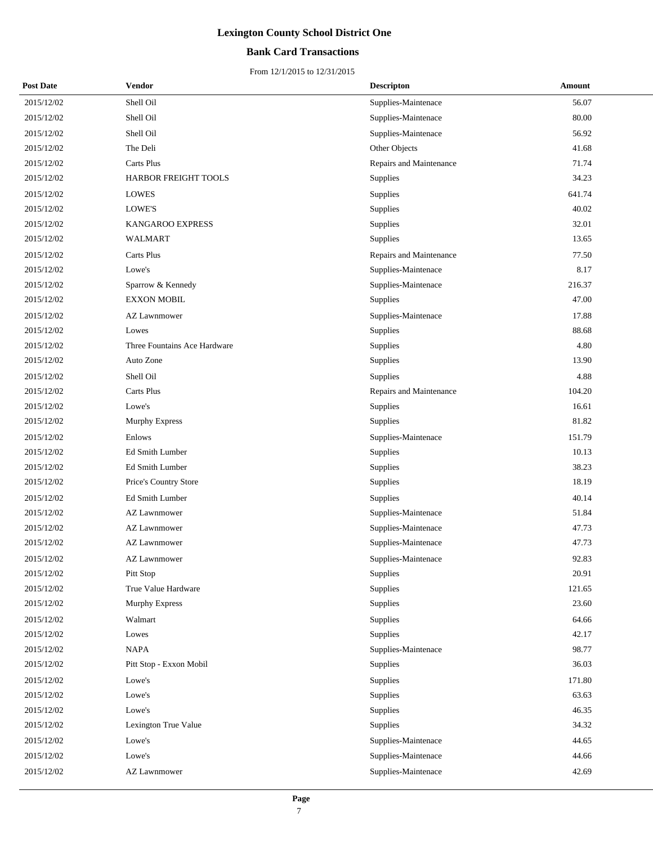## **Bank Card Transactions**

| <b>Post Date</b> | Vendor                       | <b>Descripton</b>       | Amount |
|------------------|------------------------------|-------------------------|--------|
| 2015/12/02       | Shell Oil                    | Supplies-Maintenace     | 56.07  |
| 2015/12/02       | Shell Oil                    | Supplies-Maintenace     | 80.00  |
| 2015/12/02       | Shell Oil                    | Supplies-Maintenace     | 56.92  |
| 2015/12/02       | The Deli                     | Other Objects           | 41.68  |
| 2015/12/02       | <b>Carts Plus</b>            | Repairs and Maintenance | 71.74  |
| 2015/12/02       | HARBOR FREIGHT TOOLS         | Supplies                | 34.23  |
| 2015/12/02       | <b>LOWES</b>                 | Supplies                | 641.74 |
| 2015/12/02       | LOWE'S                       | Supplies                | 40.02  |
| 2015/12/02       | KANGAROO EXPRESS             | Supplies                | 32.01  |
| 2015/12/02       | WALMART                      | Supplies                | 13.65  |
| 2015/12/02       | Carts Plus                   | Repairs and Maintenance | 77.50  |
| 2015/12/02       | Lowe's                       | Supplies-Maintenace     | 8.17   |
| 2015/12/02       | Sparrow & Kennedy            | Supplies-Maintenace     | 216.37 |
| 2015/12/02       | <b>EXXON MOBIL</b>           | Supplies                | 47.00  |
| 2015/12/02       | <b>AZ Lawnmower</b>          | Supplies-Maintenace     | 17.88  |
| 2015/12/02       | Lowes                        | Supplies                | 88.68  |
| 2015/12/02       | Three Fountains Ace Hardware | Supplies                | 4.80   |
| 2015/12/02       | Auto Zone                    | Supplies                | 13.90  |
| 2015/12/02       | Shell Oil                    | Supplies                | 4.88   |
| 2015/12/02       | Carts Plus                   | Repairs and Maintenance | 104.20 |
| 2015/12/02       | Lowe's                       | Supplies                | 16.61  |
| 2015/12/02       | Murphy Express               | Supplies                | 81.82  |
| 2015/12/02       | Enlows                       | Supplies-Maintenace     | 151.79 |
| 2015/12/02       | Ed Smith Lumber              | Supplies                | 10.13  |
| 2015/12/02       | Ed Smith Lumber              | Supplies                | 38.23  |
| 2015/12/02       | Price's Country Store        | Supplies                | 18.19  |
| 2015/12/02       | Ed Smith Lumber              | Supplies                | 40.14  |
| 2015/12/02       | <b>AZ Lawnmower</b>          | Supplies-Maintenace     | 51.84  |
| 2015/12/02       | <b>AZ Lawnmower</b>          | Supplies-Maintenace     | 47.73  |
| 2015/12/02       | <b>AZ Lawnmower</b>          | Supplies-Maintenace     | 47.73  |
| 2015/12/02       | <b>AZ Lawnmower</b>          | Supplies-Maintenace     | 92.83  |
| 2015/12/02       | Pitt Stop                    | Supplies                | 20.91  |
| 2015/12/02       | True Value Hardware          | Supplies                | 121.65 |
| 2015/12/02       | Murphy Express               | Supplies                | 23.60  |
| 2015/12/02       | Walmart                      | Supplies                | 64.66  |
| 2015/12/02       | Lowes                        | Supplies                | 42.17  |
| 2015/12/02       | <b>NAPA</b>                  | Supplies-Maintenace     | 98.77  |
| 2015/12/02       | Pitt Stop - Exxon Mobil      | Supplies                | 36.03  |
| 2015/12/02       | Lowe's                       | Supplies                | 171.80 |
| 2015/12/02       | Lowe's                       | Supplies                | 63.63  |
| 2015/12/02       | Lowe's                       | Supplies                | 46.35  |
| 2015/12/02       | Lexington True Value         | Supplies                | 34.32  |
| 2015/12/02       | Lowe's                       | Supplies-Maintenace     | 44.65  |
| 2015/12/02       | Lowe's                       | Supplies-Maintenace     | 44.66  |
| 2015/12/02       | <b>AZ Lawnmower</b>          | Supplies-Maintenace     | 42.69  |
|                  |                              |                         |        |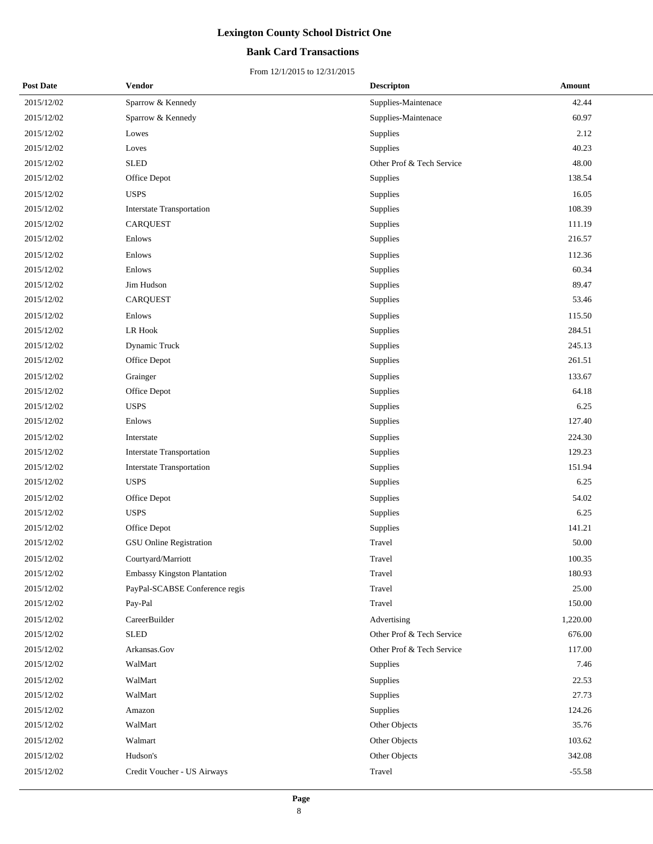## **Bank Card Transactions**

| 42.44<br>2015/12/02<br>Sparrow & Kennedy<br>Supplies-Maintenace<br>2015/12/02<br>Sparrow & Kennedy<br>60.97<br>Supplies-Maintenace<br>2.12<br>2015/12/02<br>Supplies<br>Lowes<br>2015/12/02<br>40.23<br>Loves<br>Supplies<br><b>SLED</b><br>48.00<br>2015/12/02<br>Other Prof & Tech Service<br>138.54<br>2015/12/02<br>Office Depot<br>Supplies<br><b>USPS</b><br>16.05<br>2015/12/02<br>Supplies<br>2015/12/02<br>108.39<br><b>Interstate Transportation</b><br>Supplies<br>CARQUEST<br>111.19<br>2015/12/02<br>Supplies<br>216.57<br>2015/12/02<br>Enlows<br>Supplies<br>Enlows<br>112.36<br>2015/12/02<br>Supplies<br>2015/12/02<br>Enlows<br>60.34<br>Supplies<br>89.47<br>2015/12/02<br>Jim Hudson<br>Supplies<br>53.46<br>2015/12/02<br><b>CARQUEST</b><br>Supplies<br>Enlows<br>115.50<br>2015/12/02<br>Supplies<br>2015/12/02<br><b>LR Hook</b><br>284.51<br>Supplies<br>2015/12/02<br>Dynamic Truck<br>245.13<br>Supplies<br>261.51<br>2015/12/02<br>Office Depot<br>Supplies<br>133.67<br>2015/12/02<br>Grainger<br>Supplies<br>2015/12/02<br>64.18<br>Office Depot<br>Supplies<br><b>USPS</b><br>2015/12/02<br>6.25<br>Supplies<br>127.40<br>2015/12/02<br>Enlows<br>Supplies<br>224.30<br>2015/12/02<br>Interstate<br>Supplies<br>2015/12/02<br><b>Interstate Transportation</b><br>129.23<br>Supplies<br>151.94<br>2015/12/02<br><b>Interstate Transportation</b><br>Supplies<br><b>USPS</b><br>6.25<br>2015/12/02<br>Supplies<br>54.02<br>2015/12/02<br>Office Depot<br>Supplies<br>2015/12/02<br><b>USPS</b><br>6.25<br>Supplies<br>2015/12/02<br>Office Depot<br>Supplies<br>141.21<br>Travel<br>50.00<br>2015/12/02<br>GSU Online Registration<br>2015/12/02<br>100.35<br>Courtyard/Marriott<br>Travel<br>Embassy Kingston Plantation<br>Travel<br>180.93<br>2015/12/02<br>25.00<br>2015/12/02<br>PayPal-SCABSE Conference regis<br>Travel<br>Travel<br>150.00<br>2015/12/02<br>Pay-Pal<br>CareerBuilder<br>1,220.00<br>2015/12/02<br>Advertising<br>2015/12/02<br><b>SLED</b><br>Other Prof & Tech Service<br>676.00<br>2015/12/02<br>Arkansas.Gov<br>Other Prof & Tech Service<br>117.00<br>WalMart<br>2015/12/02<br>7.46<br>Supplies<br>WalMart<br>22.53<br>2015/12/02<br>Supplies<br>2015/12/02<br>WalMart<br>Supplies<br>27.73<br>124.26<br>2015/12/02<br>Supplies<br>Amazon<br>WalMart<br>Other Objects<br>35.76<br>2015/12/02<br>103.62<br>2015/12/02<br>Walmart<br>Other Objects<br>2015/12/02<br>Hudson's<br>Other Objects<br>342.08<br>2015/12/02<br>Credit Voucher - US Airways<br>Travel<br>$-55.58$ | <b>Post Date</b> | Vendor | <b>Descripton</b> | Amount |
|------------------------------------------------------------------------------------------------------------------------------------------------------------------------------------------------------------------------------------------------------------------------------------------------------------------------------------------------------------------------------------------------------------------------------------------------------------------------------------------------------------------------------------------------------------------------------------------------------------------------------------------------------------------------------------------------------------------------------------------------------------------------------------------------------------------------------------------------------------------------------------------------------------------------------------------------------------------------------------------------------------------------------------------------------------------------------------------------------------------------------------------------------------------------------------------------------------------------------------------------------------------------------------------------------------------------------------------------------------------------------------------------------------------------------------------------------------------------------------------------------------------------------------------------------------------------------------------------------------------------------------------------------------------------------------------------------------------------------------------------------------------------------------------------------------------------------------------------------------------------------------------------------------------------------------------------------------------------------------------------------------------------------------------------------------------------------------------------------------------------------------------------------------------------------------------------------------------------------------------------------------------------------------------------------------------------------------------------------------------------------------------------------------------------------------------------------------------------------------------------------------------------------------|------------------|--------|-------------------|--------|
|                                                                                                                                                                                                                                                                                                                                                                                                                                                                                                                                                                                                                                                                                                                                                                                                                                                                                                                                                                                                                                                                                                                                                                                                                                                                                                                                                                                                                                                                                                                                                                                                                                                                                                                                                                                                                                                                                                                                                                                                                                                                                                                                                                                                                                                                                                                                                                                                                                                                                                                                    |                  |        |                   |        |
|                                                                                                                                                                                                                                                                                                                                                                                                                                                                                                                                                                                                                                                                                                                                                                                                                                                                                                                                                                                                                                                                                                                                                                                                                                                                                                                                                                                                                                                                                                                                                                                                                                                                                                                                                                                                                                                                                                                                                                                                                                                                                                                                                                                                                                                                                                                                                                                                                                                                                                                                    |                  |        |                   |        |
|                                                                                                                                                                                                                                                                                                                                                                                                                                                                                                                                                                                                                                                                                                                                                                                                                                                                                                                                                                                                                                                                                                                                                                                                                                                                                                                                                                                                                                                                                                                                                                                                                                                                                                                                                                                                                                                                                                                                                                                                                                                                                                                                                                                                                                                                                                                                                                                                                                                                                                                                    |                  |        |                   |        |
|                                                                                                                                                                                                                                                                                                                                                                                                                                                                                                                                                                                                                                                                                                                                                                                                                                                                                                                                                                                                                                                                                                                                                                                                                                                                                                                                                                                                                                                                                                                                                                                                                                                                                                                                                                                                                                                                                                                                                                                                                                                                                                                                                                                                                                                                                                                                                                                                                                                                                                                                    |                  |        |                   |        |
|                                                                                                                                                                                                                                                                                                                                                                                                                                                                                                                                                                                                                                                                                                                                                                                                                                                                                                                                                                                                                                                                                                                                                                                                                                                                                                                                                                                                                                                                                                                                                                                                                                                                                                                                                                                                                                                                                                                                                                                                                                                                                                                                                                                                                                                                                                                                                                                                                                                                                                                                    |                  |        |                   |        |
|                                                                                                                                                                                                                                                                                                                                                                                                                                                                                                                                                                                                                                                                                                                                                                                                                                                                                                                                                                                                                                                                                                                                                                                                                                                                                                                                                                                                                                                                                                                                                                                                                                                                                                                                                                                                                                                                                                                                                                                                                                                                                                                                                                                                                                                                                                                                                                                                                                                                                                                                    |                  |        |                   |        |
|                                                                                                                                                                                                                                                                                                                                                                                                                                                                                                                                                                                                                                                                                                                                                                                                                                                                                                                                                                                                                                                                                                                                                                                                                                                                                                                                                                                                                                                                                                                                                                                                                                                                                                                                                                                                                                                                                                                                                                                                                                                                                                                                                                                                                                                                                                                                                                                                                                                                                                                                    |                  |        |                   |        |
|                                                                                                                                                                                                                                                                                                                                                                                                                                                                                                                                                                                                                                                                                                                                                                                                                                                                                                                                                                                                                                                                                                                                                                                                                                                                                                                                                                                                                                                                                                                                                                                                                                                                                                                                                                                                                                                                                                                                                                                                                                                                                                                                                                                                                                                                                                                                                                                                                                                                                                                                    |                  |        |                   |        |
|                                                                                                                                                                                                                                                                                                                                                                                                                                                                                                                                                                                                                                                                                                                                                                                                                                                                                                                                                                                                                                                                                                                                                                                                                                                                                                                                                                                                                                                                                                                                                                                                                                                                                                                                                                                                                                                                                                                                                                                                                                                                                                                                                                                                                                                                                                                                                                                                                                                                                                                                    |                  |        |                   |        |
|                                                                                                                                                                                                                                                                                                                                                                                                                                                                                                                                                                                                                                                                                                                                                                                                                                                                                                                                                                                                                                                                                                                                                                                                                                                                                                                                                                                                                                                                                                                                                                                                                                                                                                                                                                                                                                                                                                                                                                                                                                                                                                                                                                                                                                                                                                                                                                                                                                                                                                                                    |                  |        |                   |        |
|                                                                                                                                                                                                                                                                                                                                                                                                                                                                                                                                                                                                                                                                                                                                                                                                                                                                                                                                                                                                                                                                                                                                                                                                                                                                                                                                                                                                                                                                                                                                                                                                                                                                                                                                                                                                                                                                                                                                                                                                                                                                                                                                                                                                                                                                                                                                                                                                                                                                                                                                    |                  |        |                   |        |
|                                                                                                                                                                                                                                                                                                                                                                                                                                                                                                                                                                                                                                                                                                                                                                                                                                                                                                                                                                                                                                                                                                                                                                                                                                                                                                                                                                                                                                                                                                                                                                                                                                                                                                                                                                                                                                                                                                                                                                                                                                                                                                                                                                                                                                                                                                                                                                                                                                                                                                                                    |                  |        |                   |        |
|                                                                                                                                                                                                                                                                                                                                                                                                                                                                                                                                                                                                                                                                                                                                                                                                                                                                                                                                                                                                                                                                                                                                                                                                                                                                                                                                                                                                                                                                                                                                                                                                                                                                                                                                                                                                                                                                                                                                                                                                                                                                                                                                                                                                                                                                                                                                                                                                                                                                                                                                    |                  |        |                   |        |
|                                                                                                                                                                                                                                                                                                                                                                                                                                                                                                                                                                                                                                                                                                                                                                                                                                                                                                                                                                                                                                                                                                                                                                                                                                                                                                                                                                                                                                                                                                                                                                                                                                                                                                                                                                                                                                                                                                                                                                                                                                                                                                                                                                                                                                                                                                                                                                                                                                                                                                                                    |                  |        |                   |        |
|                                                                                                                                                                                                                                                                                                                                                                                                                                                                                                                                                                                                                                                                                                                                                                                                                                                                                                                                                                                                                                                                                                                                                                                                                                                                                                                                                                                                                                                                                                                                                                                                                                                                                                                                                                                                                                                                                                                                                                                                                                                                                                                                                                                                                                                                                                                                                                                                                                                                                                                                    |                  |        |                   |        |
|                                                                                                                                                                                                                                                                                                                                                                                                                                                                                                                                                                                                                                                                                                                                                                                                                                                                                                                                                                                                                                                                                                                                                                                                                                                                                                                                                                                                                                                                                                                                                                                                                                                                                                                                                                                                                                                                                                                                                                                                                                                                                                                                                                                                                                                                                                                                                                                                                                                                                                                                    |                  |        |                   |        |
|                                                                                                                                                                                                                                                                                                                                                                                                                                                                                                                                                                                                                                                                                                                                                                                                                                                                                                                                                                                                                                                                                                                                                                                                                                                                                                                                                                                                                                                                                                                                                                                                                                                                                                                                                                                                                                                                                                                                                                                                                                                                                                                                                                                                                                                                                                                                                                                                                                                                                                                                    |                  |        |                   |        |
|                                                                                                                                                                                                                                                                                                                                                                                                                                                                                                                                                                                                                                                                                                                                                                                                                                                                                                                                                                                                                                                                                                                                                                                                                                                                                                                                                                                                                                                                                                                                                                                                                                                                                                                                                                                                                                                                                                                                                                                                                                                                                                                                                                                                                                                                                                                                                                                                                                                                                                                                    |                  |        |                   |        |
|                                                                                                                                                                                                                                                                                                                                                                                                                                                                                                                                                                                                                                                                                                                                                                                                                                                                                                                                                                                                                                                                                                                                                                                                                                                                                                                                                                                                                                                                                                                                                                                                                                                                                                                                                                                                                                                                                                                                                                                                                                                                                                                                                                                                                                                                                                                                                                                                                                                                                                                                    |                  |        |                   |        |
|                                                                                                                                                                                                                                                                                                                                                                                                                                                                                                                                                                                                                                                                                                                                                                                                                                                                                                                                                                                                                                                                                                                                                                                                                                                                                                                                                                                                                                                                                                                                                                                                                                                                                                                                                                                                                                                                                                                                                                                                                                                                                                                                                                                                                                                                                                                                                                                                                                                                                                                                    |                  |        |                   |        |
|                                                                                                                                                                                                                                                                                                                                                                                                                                                                                                                                                                                                                                                                                                                                                                                                                                                                                                                                                                                                                                                                                                                                                                                                                                                                                                                                                                                                                                                                                                                                                                                                                                                                                                                                                                                                                                                                                                                                                                                                                                                                                                                                                                                                                                                                                                                                                                                                                                                                                                                                    |                  |        |                   |        |
|                                                                                                                                                                                                                                                                                                                                                                                                                                                                                                                                                                                                                                                                                                                                                                                                                                                                                                                                                                                                                                                                                                                                                                                                                                                                                                                                                                                                                                                                                                                                                                                                                                                                                                                                                                                                                                                                                                                                                                                                                                                                                                                                                                                                                                                                                                                                                                                                                                                                                                                                    |                  |        |                   |        |
|                                                                                                                                                                                                                                                                                                                                                                                                                                                                                                                                                                                                                                                                                                                                                                                                                                                                                                                                                                                                                                                                                                                                                                                                                                                                                                                                                                                                                                                                                                                                                                                                                                                                                                                                                                                                                                                                                                                                                                                                                                                                                                                                                                                                                                                                                                                                                                                                                                                                                                                                    |                  |        |                   |        |
|                                                                                                                                                                                                                                                                                                                                                                                                                                                                                                                                                                                                                                                                                                                                                                                                                                                                                                                                                                                                                                                                                                                                                                                                                                                                                                                                                                                                                                                                                                                                                                                                                                                                                                                                                                                                                                                                                                                                                                                                                                                                                                                                                                                                                                                                                                                                                                                                                                                                                                                                    |                  |        |                   |        |
|                                                                                                                                                                                                                                                                                                                                                                                                                                                                                                                                                                                                                                                                                                                                                                                                                                                                                                                                                                                                                                                                                                                                                                                                                                                                                                                                                                                                                                                                                                                                                                                                                                                                                                                                                                                                                                                                                                                                                                                                                                                                                                                                                                                                                                                                                                                                                                                                                                                                                                                                    |                  |        |                   |        |
|                                                                                                                                                                                                                                                                                                                                                                                                                                                                                                                                                                                                                                                                                                                                                                                                                                                                                                                                                                                                                                                                                                                                                                                                                                                                                                                                                                                                                                                                                                                                                                                                                                                                                                                                                                                                                                                                                                                                                                                                                                                                                                                                                                                                                                                                                                                                                                                                                                                                                                                                    |                  |        |                   |        |
|                                                                                                                                                                                                                                                                                                                                                                                                                                                                                                                                                                                                                                                                                                                                                                                                                                                                                                                                                                                                                                                                                                                                                                                                                                                                                                                                                                                                                                                                                                                                                                                                                                                                                                                                                                                                                                                                                                                                                                                                                                                                                                                                                                                                                                                                                                                                                                                                                                                                                                                                    |                  |        |                   |        |
|                                                                                                                                                                                                                                                                                                                                                                                                                                                                                                                                                                                                                                                                                                                                                                                                                                                                                                                                                                                                                                                                                                                                                                                                                                                                                                                                                                                                                                                                                                                                                                                                                                                                                                                                                                                                                                                                                                                                                                                                                                                                                                                                                                                                                                                                                                                                                                                                                                                                                                                                    |                  |        |                   |        |
|                                                                                                                                                                                                                                                                                                                                                                                                                                                                                                                                                                                                                                                                                                                                                                                                                                                                                                                                                                                                                                                                                                                                                                                                                                                                                                                                                                                                                                                                                                                                                                                                                                                                                                                                                                                                                                                                                                                                                                                                                                                                                                                                                                                                                                                                                                                                                                                                                                                                                                                                    |                  |        |                   |        |
|                                                                                                                                                                                                                                                                                                                                                                                                                                                                                                                                                                                                                                                                                                                                                                                                                                                                                                                                                                                                                                                                                                                                                                                                                                                                                                                                                                                                                                                                                                                                                                                                                                                                                                                                                                                                                                                                                                                                                                                                                                                                                                                                                                                                                                                                                                                                                                                                                                                                                                                                    |                  |        |                   |        |
|                                                                                                                                                                                                                                                                                                                                                                                                                                                                                                                                                                                                                                                                                                                                                                                                                                                                                                                                                                                                                                                                                                                                                                                                                                                                                                                                                                                                                                                                                                                                                                                                                                                                                                                                                                                                                                                                                                                                                                                                                                                                                                                                                                                                                                                                                                                                                                                                                                                                                                                                    |                  |        |                   |        |
|                                                                                                                                                                                                                                                                                                                                                                                                                                                                                                                                                                                                                                                                                                                                                                                                                                                                                                                                                                                                                                                                                                                                                                                                                                                                                                                                                                                                                                                                                                                                                                                                                                                                                                                                                                                                                                                                                                                                                                                                                                                                                                                                                                                                                                                                                                                                                                                                                                                                                                                                    |                  |        |                   |        |
|                                                                                                                                                                                                                                                                                                                                                                                                                                                                                                                                                                                                                                                                                                                                                                                                                                                                                                                                                                                                                                                                                                                                                                                                                                                                                                                                                                                                                                                                                                                                                                                                                                                                                                                                                                                                                                                                                                                                                                                                                                                                                                                                                                                                                                                                                                                                                                                                                                                                                                                                    |                  |        |                   |        |
|                                                                                                                                                                                                                                                                                                                                                                                                                                                                                                                                                                                                                                                                                                                                                                                                                                                                                                                                                                                                                                                                                                                                                                                                                                                                                                                                                                                                                                                                                                                                                                                                                                                                                                                                                                                                                                                                                                                                                                                                                                                                                                                                                                                                                                                                                                                                                                                                                                                                                                                                    |                  |        |                   |        |
|                                                                                                                                                                                                                                                                                                                                                                                                                                                                                                                                                                                                                                                                                                                                                                                                                                                                                                                                                                                                                                                                                                                                                                                                                                                                                                                                                                                                                                                                                                                                                                                                                                                                                                                                                                                                                                                                                                                                                                                                                                                                                                                                                                                                                                                                                                                                                                                                                                                                                                                                    |                  |        |                   |        |
|                                                                                                                                                                                                                                                                                                                                                                                                                                                                                                                                                                                                                                                                                                                                                                                                                                                                                                                                                                                                                                                                                                                                                                                                                                                                                                                                                                                                                                                                                                                                                                                                                                                                                                                                                                                                                                                                                                                                                                                                                                                                                                                                                                                                                                                                                                                                                                                                                                                                                                                                    |                  |        |                   |        |
|                                                                                                                                                                                                                                                                                                                                                                                                                                                                                                                                                                                                                                                                                                                                                                                                                                                                                                                                                                                                                                                                                                                                                                                                                                                                                                                                                                                                                                                                                                                                                                                                                                                                                                                                                                                                                                                                                                                                                                                                                                                                                                                                                                                                                                                                                                                                                                                                                                                                                                                                    |                  |        |                   |        |
|                                                                                                                                                                                                                                                                                                                                                                                                                                                                                                                                                                                                                                                                                                                                                                                                                                                                                                                                                                                                                                                                                                                                                                                                                                                                                                                                                                                                                                                                                                                                                                                                                                                                                                                                                                                                                                                                                                                                                                                                                                                                                                                                                                                                                                                                                                                                                                                                                                                                                                                                    |                  |        |                   |        |
|                                                                                                                                                                                                                                                                                                                                                                                                                                                                                                                                                                                                                                                                                                                                                                                                                                                                                                                                                                                                                                                                                                                                                                                                                                                                                                                                                                                                                                                                                                                                                                                                                                                                                                                                                                                                                                                                                                                                                                                                                                                                                                                                                                                                                                                                                                                                                                                                                                                                                                                                    |                  |        |                   |        |
|                                                                                                                                                                                                                                                                                                                                                                                                                                                                                                                                                                                                                                                                                                                                                                                                                                                                                                                                                                                                                                                                                                                                                                                                                                                                                                                                                                                                                                                                                                                                                                                                                                                                                                                                                                                                                                                                                                                                                                                                                                                                                                                                                                                                                                                                                                                                                                                                                                                                                                                                    |                  |        |                   |        |
|                                                                                                                                                                                                                                                                                                                                                                                                                                                                                                                                                                                                                                                                                                                                                                                                                                                                                                                                                                                                                                                                                                                                                                                                                                                                                                                                                                                                                                                                                                                                                                                                                                                                                                                                                                                                                                                                                                                                                                                                                                                                                                                                                                                                                                                                                                                                                                                                                                                                                                                                    |                  |        |                   |        |
|                                                                                                                                                                                                                                                                                                                                                                                                                                                                                                                                                                                                                                                                                                                                                                                                                                                                                                                                                                                                                                                                                                                                                                                                                                                                                                                                                                                                                                                                                                                                                                                                                                                                                                                                                                                                                                                                                                                                                                                                                                                                                                                                                                                                                                                                                                                                                                                                                                                                                                                                    |                  |        |                   |        |
|                                                                                                                                                                                                                                                                                                                                                                                                                                                                                                                                                                                                                                                                                                                                                                                                                                                                                                                                                                                                                                                                                                                                                                                                                                                                                                                                                                                                                                                                                                                                                                                                                                                                                                                                                                                                                                                                                                                                                                                                                                                                                                                                                                                                                                                                                                                                                                                                                                                                                                                                    |                  |        |                   |        |
|                                                                                                                                                                                                                                                                                                                                                                                                                                                                                                                                                                                                                                                                                                                                                                                                                                                                                                                                                                                                                                                                                                                                                                                                                                                                                                                                                                                                                                                                                                                                                                                                                                                                                                                                                                                                                                                                                                                                                                                                                                                                                                                                                                                                                                                                                                                                                                                                                                                                                                                                    |                  |        |                   |        |
|                                                                                                                                                                                                                                                                                                                                                                                                                                                                                                                                                                                                                                                                                                                                                                                                                                                                                                                                                                                                                                                                                                                                                                                                                                                                                                                                                                                                                                                                                                                                                                                                                                                                                                                                                                                                                                                                                                                                                                                                                                                                                                                                                                                                                                                                                                                                                                                                                                                                                                                                    |                  |        |                   |        |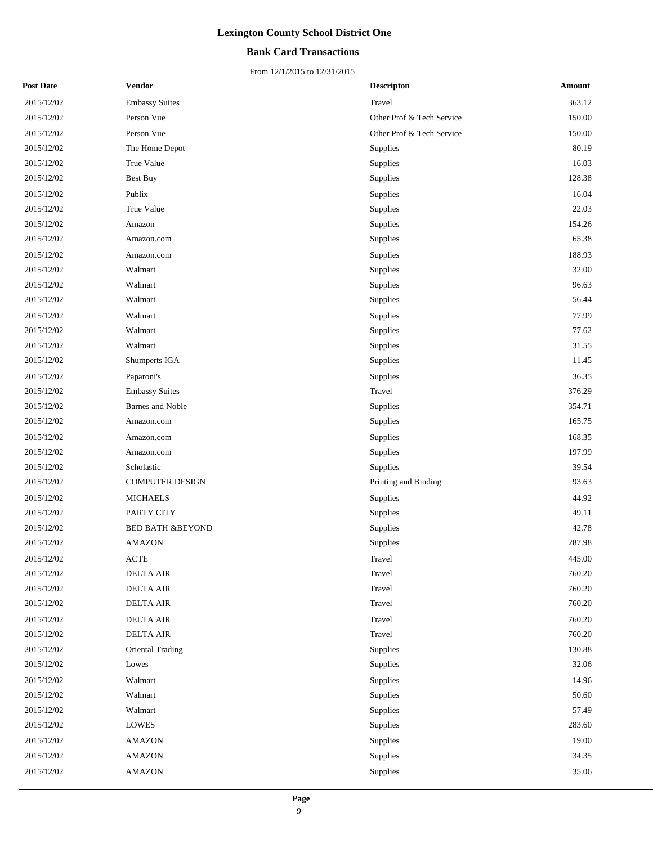## **Bank Card Transactions**

| <b>Post Date</b> | Vendor                      | <b>Descripton</b>         | <b>Amount</b> |
|------------------|-----------------------------|---------------------------|---------------|
| 2015/12/02       | <b>Embassy Suites</b>       | Travel                    | 363.12        |
| 2015/12/02       | Person Vue                  | Other Prof & Tech Service | 150.00        |
| 2015/12/02       | Person Vue                  | Other Prof & Tech Service | 150.00        |
| 2015/12/02       | The Home Depot              | Supplies                  | 80.19         |
| 2015/12/02       | True Value                  | Supplies                  | 16.03         |
| 2015/12/02       | Best Buy                    | Supplies                  | 128.38        |
| 2015/12/02       | Publix                      | Supplies                  | 16.04         |
| 2015/12/02       | True Value                  | Supplies                  | 22.03         |
| 2015/12/02       | Amazon                      | Supplies                  | 154.26        |
| 2015/12/02       | Amazon.com                  | Supplies                  | 65.38         |
| 2015/12/02       | Amazon.com                  | Supplies                  | 188.93        |
| 2015/12/02       | Walmart                     | Supplies                  | 32.00         |
| 2015/12/02       | Walmart                     | Supplies                  | 96.63         |
| 2015/12/02       | Walmart                     | Supplies                  | 56.44         |
| 2015/12/02       | Walmart                     | Supplies                  | 77.99         |
| 2015/12/02       | Walmart                     | Supplies                  | 77.62         |
| 2015/12/02       | Walmart                     | Supplies                  | 31.55         |
| 2015/12/02       | Shumperts IGA               | Supplies                  | 11.45         |
| 2015/12/02       | Paparoni's                  | Supplies                  | 36.35         |
| 2015/12/02       | <b>Embassy Suites</b>       | Travel                    | 376.29        |
| 2015/12/02       | <b>Barnes</b> and Noble     | Supplies                  | 354.71        |
| 2015/12/02       | Amazon.com                  | Supplies                  | 165.75        |
| 2015/12/02       | Amazon.com                  | Supplies                  | 168.35        |
| 2015/12/02       | Amazon.com                  | Supplies                  | 197.99        |
| 2015/12/02       | Scholastic                  | Supplies                  | 39.54         |
| 2015/12/02       | <b>COMPUTER DESIGN</b>      | Printing and Binding      | 93.63         |
| 2015/12/02       | <b>MICHAELS</b>             | Supplies                  | 44.92         |
| 2015/12/02       | PARTY CITY                  | Supplies                  | 49.11         |
| 2015/12/02       | <b>BED BATH &amp;BEYOND</b> | Supplies                  | 42.78         |
| 2015/12/02       | <b>AMAZON</b>               | Supplies                  | 287.98        |
| 2015/12/02       | <b>ACTE</b>                 | Travel                    | 445.00        |
| 2015/12/02       | <b>DELTA AIR</b>            | Travel                    | 760.20        |
| 2015/12/02       | <b>DELTA AIR</b>            | Travel                    | 760.20        |
| 2015/12/02       | <b>DELTA AIR</b>            | Travel                    | 760.20        |
| 2015/12/02       | <b>DELTA AIR</b>            | Travel                    | 760.20        |
| 2015/12/02       | <b>DELTA AIR</b>            | Travel                    | 760.20        |
| 2015/12/02       | <b>Oriental Trading</b>     | Supplies                  | 130.88        |
| 2015/12/02       | Lowes                       | Supplies                  | 32.06         |
| 2015/12/02       | Walmart                     | Supplies                  | 14.96         |
| 2015/12/02       | Walmart                     | Supplies                  | 50.60         |
| 2015/12/02       | Walmart                     | Supplies                  | 57.49         |
| 2015/12/02       | $\operatorname{LOWES}$      | Supplies                  | 283.60        |
| 2015/12/02       | <b>AMAZON</b>               | Supplies                  | 19.00         |
| 2015/12/02       | <b>AMAZON</b>               | Supplies                  | 34.35         |
| 2015/12/02       | <b>AMAZON</b>               | Supplies                  | 35.06         |
|                  |                             |                           |               |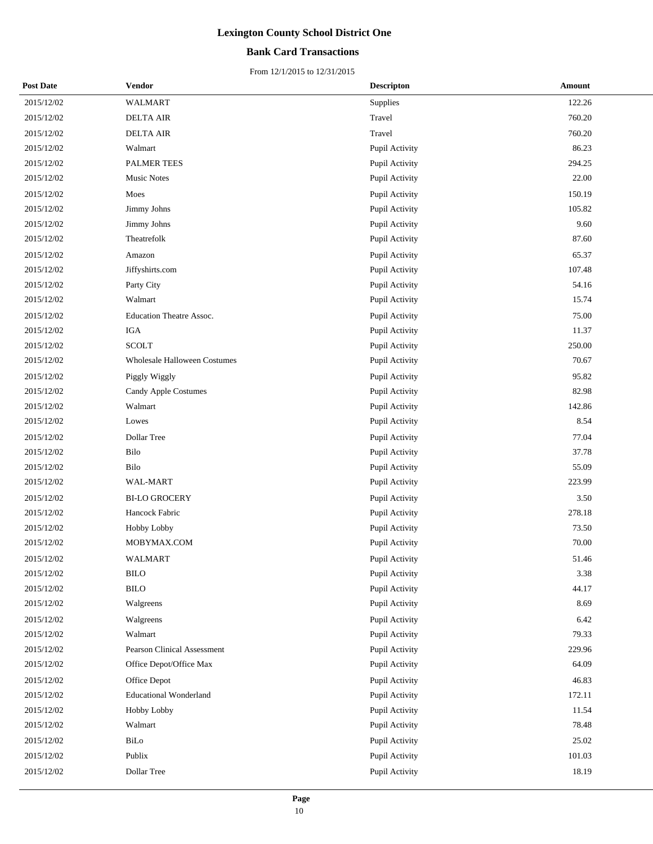## **Bank Card Transactions**

| <b>Post Date</b> | Vendor                              | <b>Descripton</b> | Amount |
|------------------|-------------------------------------|-------------------|--------|
| 2015/12/02       | <b>WALMART</b>                      | Supplies          | 122.26 |
| 2015/12/02       | <b>DELTA AIR</b>                    | Travel            | 760.20 |
| 2015/12/02       | <b>DELTA AIR</b>                    | Travel            | 760.20 |
| 2015/12/02       | Walmart                             | Pupil Activity    | 86.23  |
| 2015/12/02       | <b>PALMER TEES</b>                  | Pupil Activity    | 294.25 |
| 2015/12/02       | <b>Music Notes</b>                  | Pupil Activity    | 22.00  |
| 2015/12/02       | Moes                                | Pupil Activity    | 150.19 |
| 2015/12/02       | Jimmy Johns                         | Pupil Activity    | 105.82 |
| 2015/12/02       | Jimmy Johns                         | Pupil Activity    | 9.60   |
| 2015/12/02       | Theatrefolk                         | Pupil Activity    | 87.60  |
| 2015/12/02       | Amazon                              | Pupil Activity    | 65.37  |
| 2015/12/02       | Jiffyshirts.com                     | Pupil Activity    | 107.48 |
| 2015/12/02       | Party City                          | Pupil Activity    | 54.16  |
| 2015/12/02       | Walmart                             | Pupil Activity    | 15.74  |
| 2015/12/02       | <b>Education Theatre Assoc.</b>     | Pupil Activity    | 75.00  |
| 2015/12/02       | IGA                                 | Pupil Activity    | 11.37  |
| 2015/12/02       | <b>SCOLT</b>                        | Pupil Activity    | 250.00 |
| 2015/12/02       | <b>Wholesale Halloween Costumes</b> | Pupil Activity    | 70.67  |
| 2015/12/02       | Piggly Wiggly                       | Pupil Activity    | 95.82  |
| 2015/12/02       | Candy Apple Costumes                | Pupil Activity    | 82.98  |
| 2015/12/02       | Walmart                             | Pupil Activity    | 142.86 |
| 2015/12/02       | Lowes                               | Pupil Activity    | 8.54   |
| 2015/12/02       | Dollar Tree                         | Pupil Activity    | 77.04  |
| 2015/12/02       | Bilo                                | Pupil Activity    | 37.78  |
| 2015/12/02       | Bilo                                | Pupil Activity    | 55.09  |
| 2015/12/02       | WAL-MART                            | Pupil Activity    | 223.99 |
| 2015/12/02       | <b>BI-LO GROCERY</b>                | Pupil Activity    | 3.50   |
| 2015/12/02       | Hancock Fabric                      | Pupil Activity    | 278.18 |
| 2015/12/02       | Hobby Lobby                         | Pupil Activity    | 73.50  |
| 2015/12/02       | MOBYMAX.COM                         | Pupil Activity    | 70.00  |
| 2015/12/02       | WALMART                             | Pupil Activity    | 51.46  |
| 2015/12/02       | <b>BILO</b>                         | Pupil Activity    | 3.38   |
| 2015/12/02       | <b>BILO</b>                         | Pupil Activity    | 44.17  |
| 2015/12/02       | Walgreens                           | Pupil Activity    | 8.69   |
| 2015/12/02       | Walgreens                           | Pupil Activity    | 6.42   |
| 2015/12/02       | Walmart                             | Pupil Activity    | 79.33  |
| 2015/12/02       | <b>Pearson Clinical Assessment</b>  | Pupil Activity    | 229.96 |
| 2015/12/02       | Office Depot/Office Max             | Pupil Activity    | 64.09  |
| 2015/12/02       | Office Depot                        | Pupil Activity    | 46.83  |
| 2015/12/02       | <b>Educational Wonderland</b>       | Pupil Activity    | 172.11 |
| 2015/12/02       | Hobby Lobby                         | Pupil Activity    | 11.54  |
| 2015/12/02       | Walmart                             | Pupil Activity    | 78.48  |
| 2015/12/02       | BiLo                                | Pupil Activity    | 25.02  |
| 2015/12/02       | Publix                              | Pupil Activity    | 101.03 |
| 2015/12/02       | Dollar Tree                         | Pupil Activity    | 18.19  |
|                  |                                     |                   |        |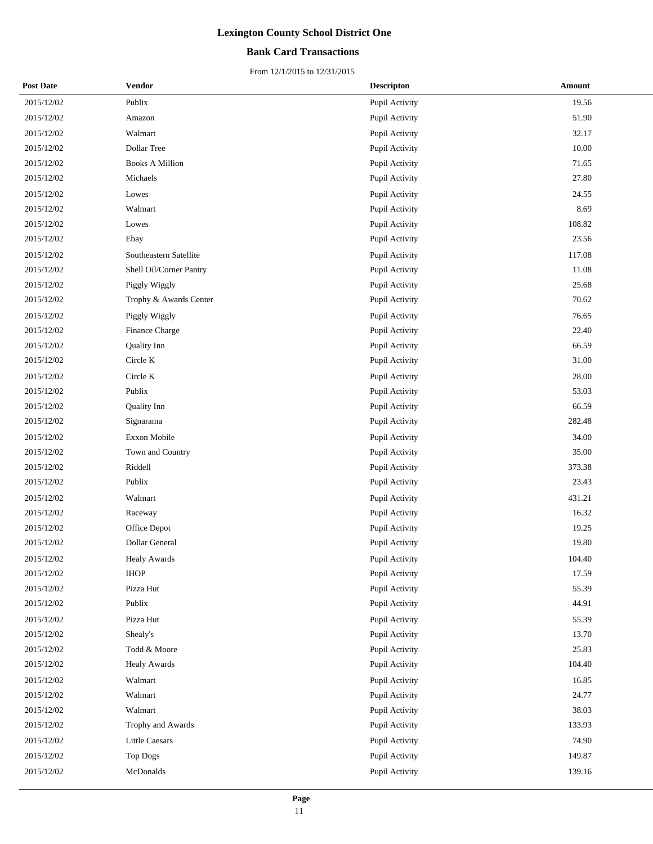## **Bank Card Transactions**

| <b>Post Date</b> | Vendor                  | <b>Descripton</b> | Amount |
|------------------|-------------------------|-------------------|--------|
| 2015/12/02       | Publix                  | Pupil Activity    | 19.56  |
| 2015/12/02       | Amazon                  | Pupil Activity    | 51.90  |
| 2015/12/02       | Walmart                 | Pupil Activity    | 32.17  |
| 2015/12/02       | Dollar Tree             | Pupil Activity    | 10.00  |
| 2015/12/02       | <b>Books A Million</b>  | Pupil Activity    | 71.65  |
| 2015/12/02       | Michaels                | Pupil Activity    | 27.80  |
| 2015/12/02       | Lowes                   | Pupil Activity    | 24.55  |
| 2015/12/02       | Walmart                 | Pupil Activity    | 8.69   |
| 2015/12/02       | Lowes                   | Pupil Activity    | 108.82 |
| 2015/12/02       | Ebay                    | Pupil Activity    | 23.56  |
| 2015/12/02       | Southeastern Satellite  | Pupil Activity    | 117.08 |
| 2015/12/02       | Shell Oil/Corner Pantry | Pupil Activity    | 11.08  |
| 2015/12/02       | Piggly Wiggly           | Pupil Activity    | 25.68  |
| 2015/12/02       | Trophy & Awards Center  | Pupil Activity    | 70.62  |
| 2015/12/02       | Piggly Wiggly           | Pupil Activity    | 76.65  |
| 2015/12/02       | Finance Charge          | Pupil Activity    | 22.40  |
| 2015/12/02       | Quality Inn             | Pupil Activity    | 66.59  |
| 2015/12/02       | Circle K                | Pupil Activity    | 31.00  |
| 2015/12/02       | Circle K                | Pupil Activity    | 28.00  |
| 2015/12/02       | Publix                  | Pupil Activity    | 53.03  |
| 2015/12/02       | Quality Inn             | Pupil Activity    | 66.59  |
| 2015/12/02       | Signarama               | Pupil Activity    | 282.48 |
| 2015/12/02       | Exxon Mobile            | Pupil Activity    | 34.00  |
| 2015/12/02       | Town and Country        | Pupil Activity    | 35.00  |
| 2015/12/02       | Riddell                 | Pupil Activity    | 373.38 |
| 2015/12/02       | Publix                  | Pupil Activity    | 23.43  |
| 2015/12/02       | Walmart                 | Pupil Activity    | 431.21 |
| 2015/12/02       | Raceway                 | Pupil Activity    | 16.32  |
| 2015/12/02       | Office Depot            | Pupil Activity    | 19.25  |
| 2015/12/02       | Dollar General          | Pupil Activity    | 19.80  |
| 2015/12/02       | <b>Healy Awards</b>     | Pupil Activity    | 104.40 |
| 2015/12/02       | <b>IHOP</b>             | Pupil Activity    | 17.59  |
| 2015/12/02       | Pizza Hut               | Pupil Activity    | 55.39  |
| 2015/12/02       | Publix                  | Pupil Activity    | 44.91  |
| 2015/12/02       | Pizza Hut               | Pupil Activity    | 55.39  |
| 2015/12/02       | Shealy's                | Pupil Activity    | 13.70  |
| 2015/12/02       | Todd & Moore            | Pupil Activity    | 25.83  |
| 2015/12/02       | Healy Awards            | Pupil Activity    | 104.40 |
| 2015/12/02       | Walmart                 | Pupil Activity    | 16.85  |
| 2015/12/02       | Walmart                 | Pupil Activity    | 24.77  |
| 2015/12/02       | Walmart                 | Pupil Activity    | 38.03  |
| 2015/12/02       | Trophy and Awards       | Pupil Activity    | 133.93 |
| 2015/12/02       | <b>Little Caesars</b>   | Pupil Activity    | 74.90  |
| 2015/12/02       | <b>Top Dogs</b>         | Pupil Activity    | 149.87 |
| 2015/12/02       | McDonalds               | Pupil Activity    | 139.16 |
|                  |                         |                   |        |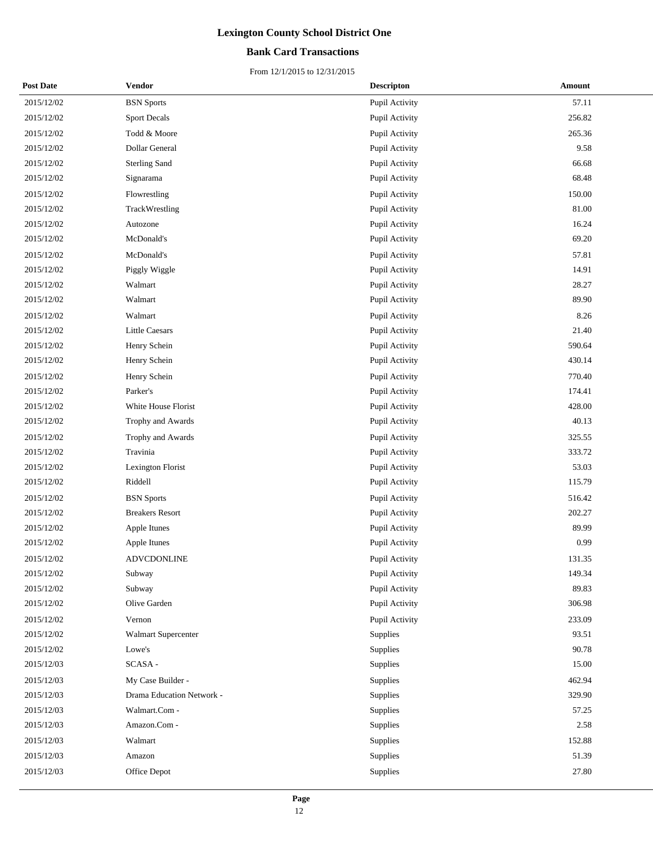## **Bank Card Transactions**

| <b>Post Date</b> | Vendor                    | <b>Descripton</b> | Amount |
|------------------|---------------------------|-------------------|--------|
| 2015/12/02       | <b>BSN</b> Sports         | Pupil Activity    | 57.11  |
| 2015/12/02       | <b>Sport Decals</b>       | Pupil Activity    | 256.82 |
| 2015/12/02       | Todd & Moore              | Pupil Activity    | 265.36 |
| 2015/12/02       | Dollar General            | Pupil Activity    | 9.58   |
| 2015/12/02       | <b>Sterling Sand</b>      | Pupil Activity    | 66.68  |
| 2015/12/02       | Signarama                 | Pupil Activity    | 68.48  |
| 2015/12/02       | Flowrestling              | Pupil Activity    | 150.00 |
| 2015/12/02       | TrackWrestling            | Pupil Activity    | 81.00  |
| 2015/12/02       | Autozone                  | Pupil Activity    | 16.24  |
| 2015/12/02       | McDonald's                | Pupil Activity    | 69.20  |
| 2015/12/02       | McDonald's                | Pupil Activity    | 57.81  |
| 2015/12/02       | Piggly Wiggle             | Pupil Activity    | 14.91  |
| 2015/12/02       | Walmart                   | Pupil Activity    | 28.27  |
| 2015/12/02       | Walmart                   | Pupil Activity    | 89.90  |
| 2015/12/02       | Walmart                   | Pupil Activity    | 8.26   |
| 2015/12/02       | <b>Little Caesars</b>     | Pupil Activity    | 21.40  |
| 2015/12/02       | Henry Schein              | Pupil Activity    | 590.64 |
| 2015/12/02       | Henry Schein              | Pupil Activity    | 430.14 |
| 2015/12/02       | Henry Schein              | Pupil Activity    | 770.40 |
| 2015/12/02       | Parker's                  | Pupil Activity    | 174.41 |
| 2015/12/02       | White House Florist       | Pupil Activity    | 428.00 |
| 2015/12/02       | Trophy and Awards         | Pupil Activity    | 40.13  |
| 2015/12/02       | Trophy and Awards         | Pupil Activity    | 325.55 |
| 2015/12/02       | Travinia                  | Pupil Activity    | 333.72 |
| 2015/12/02       | Lexington Florist         | Pupil Activity    | 53.03  |
| 2015/12/02       | Riddell                   | Pupil Activity    | 115.79 |
| 2015/12/02       | <b>BSN</b> Sports         | Pupil Activity    | 516.42 |
| 2015/12/02       | <b>Breakers Resort</b>    | Pupil Activity    | 202.27 |
| 2015/12/02       | Apple Itunes              | Pupil Activity    | 89.99  |
| 2015/12/02       | Apple Itunes              | Pupil Activity    | 0.99   |
| 2015/12/02       | <b>ADVCDONLINE</b>        | Pupil Activity    | 131.35 |
| 2015/12/02       | Subway                    | Pupil Activity    | 149.34 |
| 2015/12/02       | Subway                    | Pupil Activity    | 89.83  |
| 2015/12/02       | Olive Garden              | Pupil Activity    | 306.98 |
| 2015/12/02       | Vernon                    | Pupil Activity    | 233.09 |
| 2015/12/02       | Walmart Supercenter       | Supplies          | 93.51  |
| 2015/12/02       | Lowe's                    | Supplies          | 90.78  |
| 2015/12/03       | SCASA-                    | Supplies          | 15.00  |
| 2015/12/03       | My Case Builder -         | Supplies          | 462.94 |
| 2015/12/03       | Drama Education Network - | Supplies          | 329.90 |
| 2015/12/03       | Walmart.Com -             | Supplies          | 57.25  |
| 2015/12/03       | Amazon.Com -              | Supplies          | 2.58   |
| 2015/12/03       | Walmart                   | Supplies          | 152.88 |
| 2015/12/03       | Amazon                    | Supplies          | 51.39  |
| 2015/12/03       | Office Depot              | Supplies          | 27.80  |
|                  |                           |                   |        |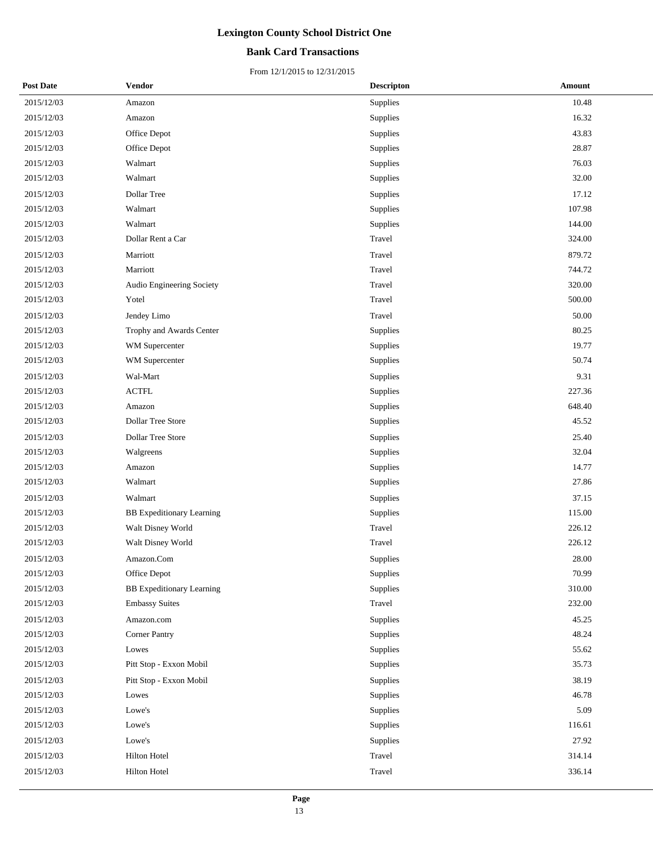## **Bank Card Transactions**

| <b>Post Date</b> | Vendor                           | <b>Descripton</b> | Amount |
|------------------|----------------------------------|-------------------|--------|
| 2015/12/03       | Amazon                           | Supplies          | 10.48  |
| 2015/12/03       | Amazon                           | Supplies          | 16.32  |
| 2015/12/03       | Office Depot                     | Supplies          | 43.83  |
| 2015/12/03       | Office Depot                     | Supplies          | 28.87  |
| 2015/12/03       | Walmart                          | Supplies          | 76.03  |
| 2015/12/03       | Walmart                          | Supplies          | 32.00  |
| 2015/12/03       | Dollar Tree                      | Supplies          | 17.12  |
| 2015/12/03       | Walmart                          | Supplies          | 107.98 |
| 2015/12/03       | Walmart                          | Supplies          | 144.00 |
| 2015/12/03       | Dollar Rent a Car                | Travel            | 324.00 |
| 2015/12/03       | Marriott                         | Travel            | 879.72 |
| 2015/12/03       | Marriott                         | Travel            | 744.72 |
| 2015/12/03       | Audio Engineering Society        | Travel            | 320.00 |
| 2015/12/03       | Yotel                            | Travel            | 500.00 |
| 2015/12/03       | Jendey Limo                      | Travel            | 50.00  |
| 2015/12/03       | Trophy and Awards Center         | Supplies          | 80.25  |
| 2015/12/03       | WM Supercenter                   | Supplies          | 19.77  |
| 2015/12/03       | WM Supercenter                   | Supplies          | 50.74  |
| 2015/12/03       | Wal-Mart                         | Supplies          | 9.31   |
| 2015/12/03       | <b>ACTFL</b>                     | Supplies          | 227.36 |
| 2015/12/03       | Amazon                           | Supplies          | 648.40 |
| 2015/12/03       | Dollar Tree Store                | Supplies          | 45.52  |
| 2015/12/03       | Dollar Tree Store                | Supplies          | 25.40  |
| 2015/12/03       | Walgreens                        | Supplies          | 32.04  |
| 2015/12/03       | Amazon                           | Supplies          | 14.77  |
| 2015/12/03       | Walmart                          | Supplies          | 27.86  |
| 2015/12/03       | Walmart                          | Supplies          | 37.15  |
| 2015/12/03       | <b>BB</b> Expeditionary Learning | Supplies          | 115.00 |
| 2015/12/03       | Walt Disney World                | Travel            | 226.12 |
| 2015/12/03       | Walt Disney World                | Travel            | 226.12 |
| 2015/12/03       | Amazon.Com                       | Supplies          | 28.00  |
| 2015/12/03       | Office Depot                     | Supplies          | 70.99  |
| 2015/12/03       | <b>BB</b> Expeditionary Learning | Supplies          | 310.00 |
| 2015/12/03       | <b>Embassy Suites</b>            | Travel            | 232.00 |
| 2015/12/03       | Amazon.com                       | Supplies          | 45.25  |
| 2015/12/03       | <b>Corner Pantry</b>             | Supplies          | 48.24  |
| 2015/12/03       | Lowes                            | Supplies          | 55.62  |
| 2015/12/03       | Pitt Stop - Exxon Mobil          | Supplies          | 35.73  |
| 2015/12/03       | Pitt Stop - Exxon Mobil          | Supplies          | 38.19  |
| 2015/12/03       | Lowes                            | Supplies          | 46.78  |
| 2015/12/03       | Lowe's                           | Supplies          | 5.09   |
| 2015/12/03       | Lowe's                           | Supplies          | 116.61 |
| 2015/12/03       | Lowe's                           | Supplies          | 27.92  |
| 2015/12/03       | Hilton Hotel                     | Travel            | 314.14 |
| 2015/12/03       | Hilton Hotel                     | Travel            | 336.14 |
|                  |                                  |                   |        |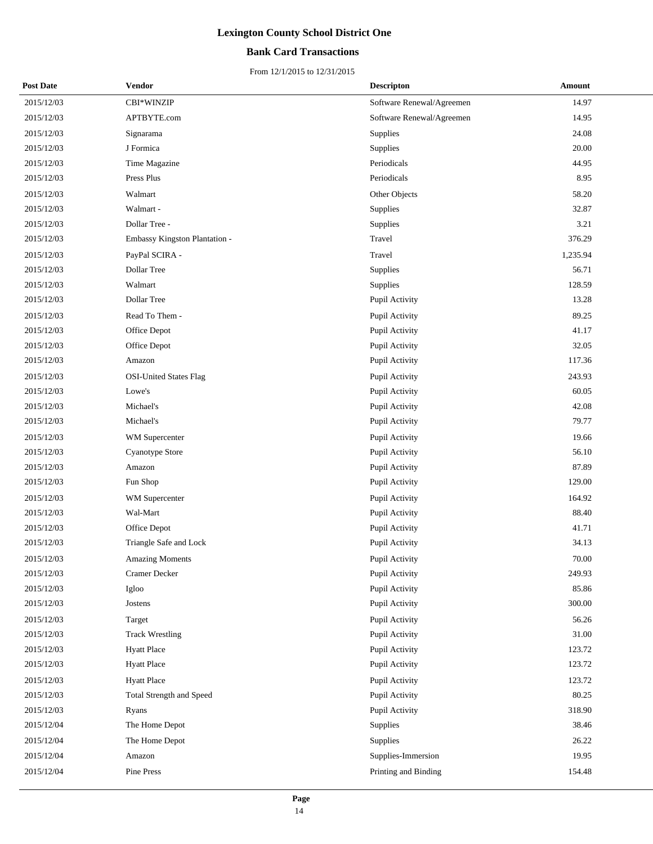## **Bank Card Transactions**

| <b>Post Date</b> | Vendor                          | <b>Descripton</b>         | Amount   |
|------------------|---------------------------------|---------------------------|----------|
| 2015/12/03       | CBI*WINZIP                      | Software Renewal/Agreemen | 14.97    |
| 2015/12/03       | APTBYTE.com                     | Software Renewal/Agreemen | 14.95    |
| 2015/12/03       | Signarama                       | Supplies                  | 24.08    |
| 2015/12/03       | J Formica                       | Supplies                  | 20.00    |
| 2015/12/03       | Time Magazine                   | Periodicals               | 44.95    |
| 2015/12/03       | Press Plus                      | Periodicals               | 8.95     |
| 2015/12/03       | Walmart                         | Other Objects             | 58.20    |
| 2015/12/03       | Walmart -                       | Supplies                  | 32.87    |
| 2015/12/03       | Dollar Tree -                   | Supplies                  | 3.21     |
| 2015/12/03       | Embassy Kingston Plantation -   | Travel                    | 376.29   |
| 2015/12/03       | PayPal SCIRA -                  | Travel                    | 1,235.94 |
| 2015/12/03       | Dollar Tree                     | Supplies                  | 56.71    |
| 2015/12/03       | Walmart                         | Supplies                  | 128.59   |
| 2015/12/03       | Dollar Tree                     | Pupil Activity            | 13.28    |
| 2015/12/03       | Read To Them -                  | Pupil Activity            | 89.25    |
| 2015/12/03       | Office Depot                    | Pupil Activity            | 41.17    |
| 2015/12/03       | Office Depot                    | Pupil Activity            | 32.05    |
| 2015/12/03       | Amazon                          | Pupil Activity            | 117.36   |
| 2015/12/03       | <b>OSI-United States Flag</b>   | Pupil Activity            | 243.93   |
| 2015/12/03       | Lowe's                          | Pupil Activity            | 60.05    |
| 2015/12/03       | Michael's                       | Pupil Activity            | 42.08    |
| 2015/12/03       | Michael's                       | Pupil Activity            | 79.77    |
| 2015/12/03       | WM Supercenter                  | Pupil Activity            | 19.66    |
| 2015/12/03       | <b>Cyanotype Store</b>          | Pupil Activity            | 56.10    |
| 2015/12/03       | Amazon                          | Pupil Activity            | 87.89    |
| 2015/12/03       | Fun Shop                        | Pupil Activity            | 129.00   |
| 2015/12/03       | WM Supercenter                  | Pupil Activity            | 164.92   |
| 2015/12/03       | Wal-Mart                        | Pupil Activity            | 88.40    |
| 2015/12/03       | Office Depot                    | Pupil Activity            | 41.71    |
| 2015/12/03       | Triangle Safe and Lock          | Pupil Activity            | 34.13    |
| 2015/12/03       | <b>Amazing Moments</b>          | Pupil Activity            | 70.00    |
| 2015/12/03       | Cramer Decker                   | Pupil Activity            | 249.93   |
| 2015/12/03       | Igloo                           | Pupil Activity            | 85.86    |
| 2015/12/03       | Jostens                         | Pupil Activity            | 300.00   |
| 2015/12/03       | Target                          | Pupil Activity            | 56.26    |
| 2015/12/03       | <b>Track Wrestling</b>          | Pupil Activity            | 31.00    |
| 2015/12/03       | <b>Hyatt Place</b>              | Pupil Activity            | 123.72   |
| 2015/12/03       | <b>Hyatt Place</b>              | Pupil Activity            | 123.72   |
| 2015/12/03       | <b>Hyatt Place</b>              | Pupil Activity            | 123.72   |
| 2015/12/03       | <b>Total Strength and Speed</b> | Pupil Activity            | 80.25    |
| 2015/12/03       | Ryans                           | Pupil Activity            | 318.90   |
| 2015/12/04       | The Home Depot                  | Supplies                  | 38.46    |
| 2015/12/04       | The Home Depot                  | Supplies                  | 26.22    |
| 2015/12/04       | Amazon                          | Supplies-Immersion        | 19.95    |
| 2015/12/04       | Pine Press                      | Printing and Binding      | 154.48   |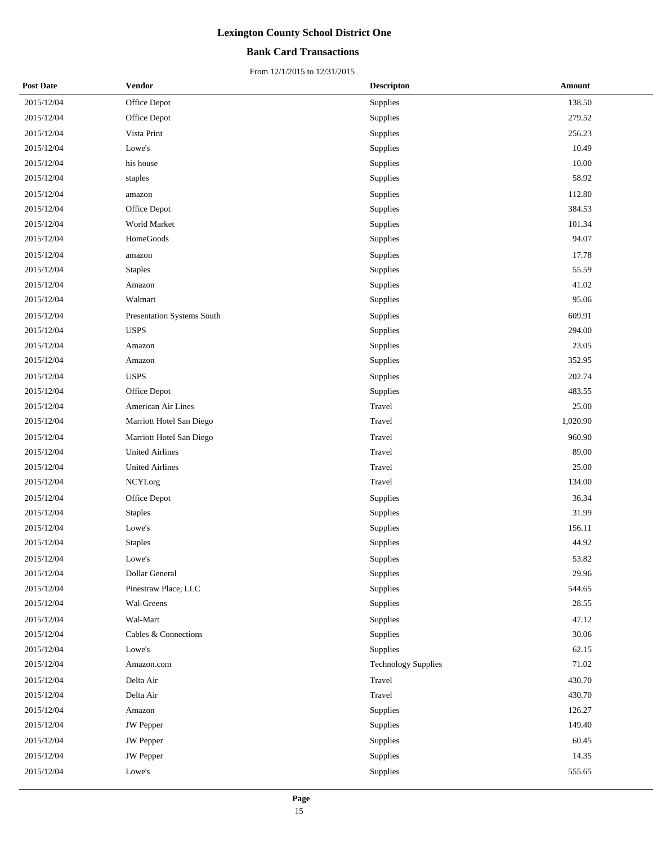## **Bank Card Transactions**

| <b>Post Date</b> | Vendor                     | <b>Descripton</b>          | Amount   |  |
|------------------|----------------------------|----------------------------|----------|--|
| 2015/12/04       | Office Depot               | Supplies                   | 138.50   |  |
| 2015/12/04       | Office Depot               | Supplies                   | 279.52   |  |
| 2015/12/04       | Vista Print                | Supplies                   | 256.23   |  |
| 2015/12/04       | Lowe's                     | Supplies                   | 10.49    |  |
| 2015/12/04       | his house                  | Supplies                   | 10.00    |  |
| 2015/12/04       | staples                    | Supplies                   | 58.92    |  |
| 2015/12/04       | amazon                     | Supplies                   | 112.80   |  |
| 2015/12/04       | Office Depot               | Supplies                   | 384.53   |  |
| 2015/12/04       | World Market               | Supplies                   | 101.34   |  |
| 2015/12/04       | HomeGoods                  | Supplies                   | 94.07    |  |
| 2015/12/04       | amazon                     | Supplies                   | 17.78    |  |
| 2015/12/04       | <b>Staples</b>             | Supplies                   | 55.59    |  |
| 2015/12/04       | Amazon                     | Supplies                   | 41.02    |  |
| 2015/12/04       | Walmart                    | Supplies                   | 95.06    |  |
| 2015/12/04       | Presentation Systems South | Supplies                   | 609.91   |  |
| 2015/12/04       | <b>USPS</b>                | Supplies                   | 294.00   |  |
| 2015/12/04       | Amazon                     | Supplies                   | 23.05    |  |
| 2015/12/04       | Amazon                     | Supplies                   | 352.95   |  |
| 2015/12/04       | <b>USPS</b>                | Supplies                   | 202.74   |  |
| 2015/12/04       | Office Depot               | Supplies                   | 483.55   |  |
| 2015/12/04       | American Air Lines         | Travel                     | 25.00    |  |
| 2015/12/04       | Marriott Hotel San Diego   | Travel                     | 1,020.90 |  |
| 2015/12/04       | Marriott Hotel San Diego   | Travel                     | 960.90   |  |
| 2015/12/04       | <b>United Airlines</b>     | Travel                     | 89.00    |  |
| 2015/12/04       | <b>United Airlines</b>     | Travel                     | 25.00    |  |
| 2015/12/04       | NCYI.org                   | Travel                     | 134.00   |  |
| 2015/12/04       | Office Depot               | Supplies                   | 36.34    |  |
| 2015/12/04       | <b>Staples</b>             | Supplies                   | 31.99    |  |
| 2015/12/04       | Lowe's                     | Supplies                   | 156.11   |  |
| 2015/12/04       | <b>Staples</b>             | Supplies                   | 44.92    |  |
| 2015/12/04       | Lowe's                     | Supplies                   | 53.82    |  |
| 2015/12/04       | Dollar General             | Supplies                   | 29.96    |  |
| 2015/12/04       | Pinestraw Place, LLC       | Supplies                   | 544.65   |  |
| 2015/12/04       | Wal-Greens                 | Supplies                   | 28.55    |  |
| 2015/12/04       | Wal-Mart                   | Supplies                   | 47.12    |  |
| 2015/12/04       | Cables & Connections       | Supplies                   | 30.06    |  |
| 2015/12/04       | Lowe's                     | Supplies                   | 62.15    |  |
| 2015/12/04       | Amazon.com                 | <b>Technology Supplies</b> | 71.02    |  |
| 2015/12/04       | Delta Air                  | Travel                     | 430.70   |  |
| 2015/12/04       | Delta Air                  | Travel                     | 430.70   |  |
| 2015/12/04       | Amazon                     | Supplies                   | 126.27   |  |
| 2015/12/04       | <b>JW</b> Pepper           | Supplies                   | 149.40   |  |
| 2015/12/04       | <b>JW</b> Pepper           | Supplies                   | 60.45    |  |
| 2015/12/04       | <b>JW</b> Pepper           | Supplies                   | 14.35    |  |
| 2015/12/04       | Lowe's                     | Supplies                   | 555.65   |  |
|                  |                            |                            |          |  |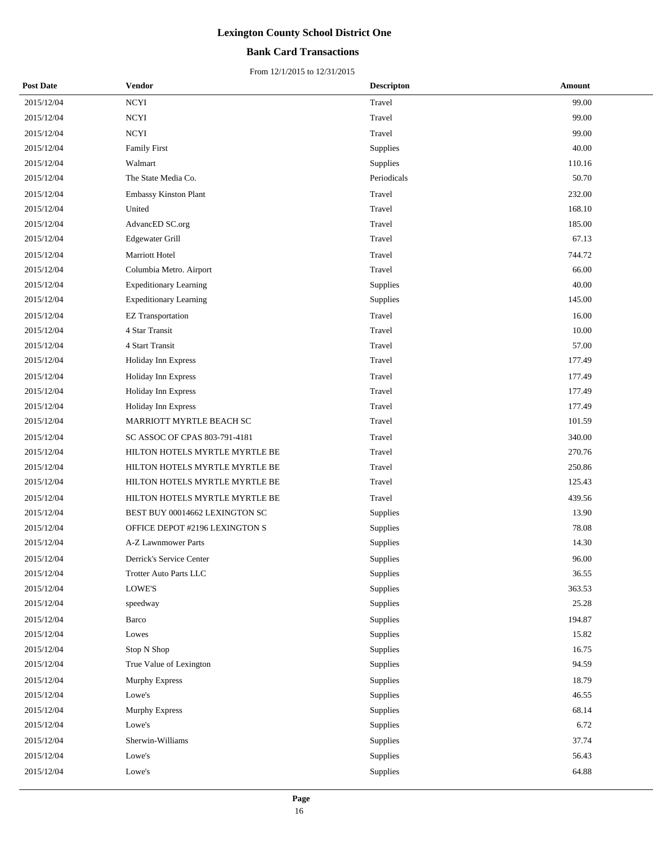## **Bank Card Transactions**

| <b>Post Date</b> | Vendor                         | <b>Descripton</b> | Amount |
|------------------|--------------------------------|-------------------|--------|
| 2015/12/04       | $\operatorname{NCYI}$          | Travel            | 99.00  |
| 2015/12/04       | $\operatorname{NCYI}$          | Travel            | 99.00  |
| 2015/12/04       | <b>NCYI</b>                    | Travel            | 99.00  |
| 2015/12/04       | <b>Family First</b>            | Supplies          | 40.00  |
| 2015/12/04       | Walmart                        | Supplies          | 110.16 |
| 2015/12/04       | The State Media Co.            | Periodicals       | 50.70  |
| 2015/12/04       | Embassy Kinston Plant          | Travel            | 232.00 |
| 2015/12/04       | United                         | Travel            | 168.10 |
| 2015/12/04       | AdvancED SC.org                | Travel            | 185.00 |
| 2015/12/04       | <b>Edgewater Grill</b>         | Travel            | 67.13  |
| 2015/12/04       | Marriott Hotel                 | Travel            | 744.72 |
| 2015/12/04       | Columbia Metro. Airport        | Travel            | 66.00  |
| 2015/12/04       | <b>Expeditionary Learning</b>  | Supplies          | 40.00  |
| 2015/12/04       | <b>Expeditionary Learning</b>  | Supplies          | 145.00 |
| 2015/12/04       | <b>EZ Transportation</b>       | Travel            | 16.00  |
| 2015/12/04       | 4 Star Transit                 | Travel            | 10.00  |
| 2015/12/04       | 4 Start Transit                | Travel            | 57.00  |
| 2015/12/04       | Holiday Inn Express            | Travel            | 177.49 |
| 2015/12/04       | Holiday Inn Express            | Travel            | 177.49 |
| 2015/12/04       | Holiday Inn Express            | Travel            | 177.49 |
| 2015/12/04       | Holiday Inn Express            | Travel            | 177.49 |
| 2015/12/04       | MARRIOTT MYRTLE BEACH SC       | Travel            | 101.59 |
| 2015/12/04       | SC ASSOC OF CPAS 803-791-4181  | Travel            | 340.00 |
| 2015/12/04       | HILTON HOTELS MYRTLE MYRTLE BE | Travel            | 270.76 |
| 2015/12/04       | HILTON HOTELS MYRTLE MYRTLE BE | Travel            | 250.86 |
| 2015/12/04       | HILTON HOTELS MYRTLE MYRTLE BE | Travel            | 125.43 |
| 2015/12/04       | HILTON HOTELS MYRTLE MYRTLE BE | Travel            | 439.56 |
| 2015/12/04       | BEST BUY 00014662 LEXINGTON SC | Supplies          | 13.90  |
| 2015/12/04       | OFFICE DEPOT #2196 LEXINGTON S | Supplies          | 78.08  |
| 2015/12/04       | A-Z Lawnmower Parts            | Supplies          | 14.30  |
| 2015/12/04       | Derrick's Service Center       | Supplies          | 96.00  |
| 2015/12/04       | Trotter Auto Parts LLC         | Supplies          | 36.55  |
| 2015/12/04       | LOWE'S                         | Supplies          | 363.53 |
| 2015/12/04       | speedway                       | Supplies          | 25.28  |
| 2015/12/04       | Barco                          | Supplies          | 194.87 |
| 2015/12/04       | Lowes                          | Supplies          | 15.82  |
| 2015/12/04       | Stop N Shop                    | Supplies          | 16.75  |
| 2015/12/04       | True Value of Lexington        | Supplies          | 94.59  |
| 2015/12/04       | <b>Murphy Express</b>          | Supplies          | 18.79  |
| 2015/12/04       | Lowe's                         | Supplies          | 46.55  |
| 2015/12/04       | Murphy Express                 | Supplies          | 68.14  |
| 2015/12/04       | Lowe's                         | Supplies          | 6.72   |
| 2015/12/04       | Sherwin-Williams               | Supplies          | 37.74  |
| 2015/12/04       | Lowe's                         | Supplies          | 56.43  |
| 2015/12/04       | Lowe's                         | Supplies          | 64.88  |
|                  |                                |                   |        |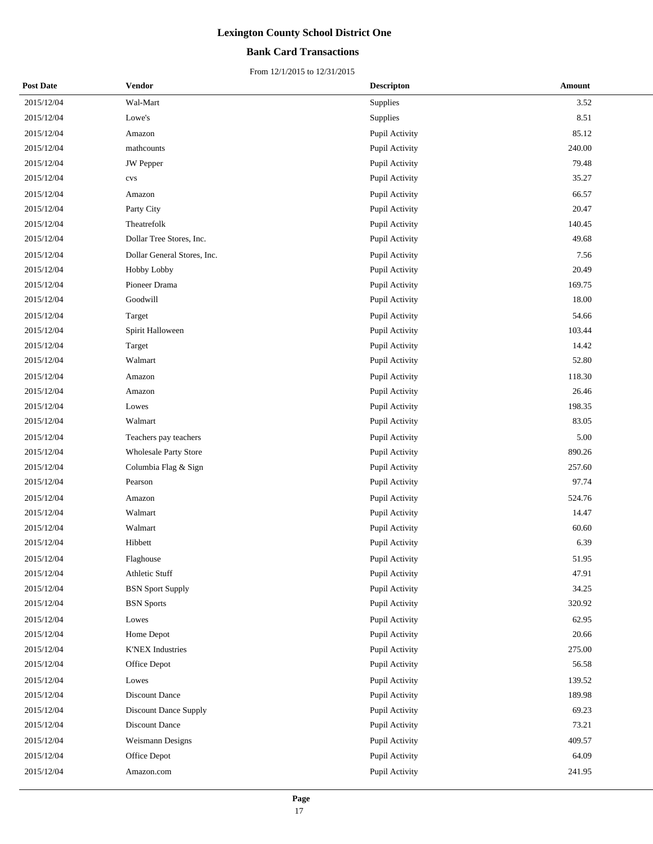## **Bank Card Transactions**

| <b>Post Date</b> | Vendor                      | <b>Descripton</b> | Amount |
|------------------|-----------------------------|-------------------|--------|
| 2015/12/04       | Wal-Mart                    | Supplies          | 3.52   |
| 2015/12/04       | Lowe's                      | Supplies          | 8.51   |
| 2015/12/04       | Amazon                      | Pupil Activity    | 85.12  |
| 2015/12/04       | mathcounts                  | Pupil Activity    | 240.00 |
| 2015/12/04       | JW Pepper                   | Pupil Activity    | 79.48  |
| 2015/12/04       | $_{\rm{CVS}}$               | Pupil Activity    | 35.27  |
| 2015/12/04       | Amazon                      | Pupil Activity    | 66.57  |
| 2015/12/04       | Party City                  | Pupil Activity    | 20.47  |
| 2015/12/04       | Theatrefolk                 | Pupil Activity    | 140.45 |
| 2015/12/04       | Dollar Tree Stores, Inc.    | Pupil Activity    | 49.68  |
| 2015/12/04       | Dollar General Stores, Inc. | Pupil Activity    | 7.56   |
| 2015/12/04       | Hobby Lobby                 | Pupil Activity    | 20.49  |
| 2015/12/04       | Pioneer Drama               | Pupil Activity    | 169.75 |
| 2015/12/04       | Goodwill                    | Pupil Activity    | 18.00  |
| 2015/12/04       | Target                      | Pupil Activity    | 54.66  |
| 2015/12/04       | Spirit Halloween            | Pupil Activity    | 103.44 |
| 2015/12/04       | Target                      | Pupil Activity    | 14.42  |
| 2015/12/04       | Walmart                     | Pupil Activity    | 52.80  |
| 2015/12/04       | Amazon                      | Pupil Activity    | 118.30 |
| 2015/12/04       | Amazon                      | Pupil Activity    | 26.46  |
| 2015/12/04       | Lowes                       | Pupil Activity    | 198.35 |
| 2015/12/04       | Walmart                     | Pupil Activity    | 83.05  |
| 2015/12/04       | Teachers pay teachers       | Pupil Activity    | 5.00   |
| 2015/12/04       | Wholesale Party Store       | Pupil Activity    | 890.26 |
| 2015/12/04       | Columbia Flag & Sign        | Pupil Activity    | 257.60 |
| 2015/12/04       | Pearson                     | Pupil Activity    | 97.74  |
| 2015/12/04       | Amazon                      | Pupil Activity    | 524.76 |
| 2015/12/04       | Walmart                     | Pupil Activity    | 14.47  |
| 2015/12/04       | Walmart                     | Pupil Activity    | 60.60  |
| 2015/12/04       | Hibbett                     | Pupil Activity    | 6.39   |
| 2015/12/04       | Flaghouse                   | Pupil Activity    | 51.95  |
| 2015/12/04       | Athletic Stuff              | Pupil Activity    | 47.91  |
| 2015/12/04       | <b>BSN</b> Sport Supply     | Pupil Activity    | 34.25  |
| 2015/12/04       | <b>BSN</b> Sports           | Pupil Activity    | 320.92 |
| 2015/12/04       | Lowes                       | Pupil Activity    | 62.95  |
| 2015/12/04       | Home Depot                  | Pupil Activity    | 20.66  |
| 2015/12/04       | <b>K'NEX</b> Industries     | Pupil Activity    | 275.00 |
| 2015/12/04       | Office Depot                | Pupil Activity    | 56.58  |
| 2015/12/04       | Lowes                       | Pupil Activity    | 139.52 |
| 2015/12/04       | Discount Dance              | Pupil Activity    | 189.98 |
| 2015/12/04       | Discount Dance Supply       | Pupil Activity    | 69.23  |
| 2015/12/04       | Discount Dance              | Pupil Activity    | 73.21  |
| 2015/12/04       | Weismann Designs            | Pupil Activity    | 409.57 |
| 2015/12/04       | Office Depot                | Pupil Activity    | 64.09  |
| 2015/12/04       | Amazon.com                  | Pupil Activity    | 241.95 |
|                  |                             |                   |        |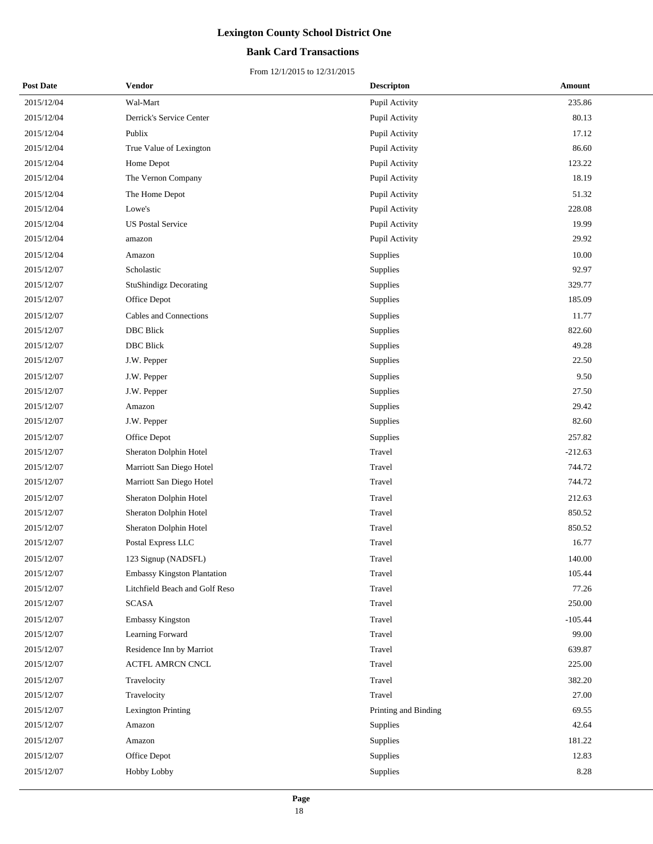## **Bank Card Transactions**

| <b>Post Date</b> | Vendor                             | <b>Descripton</b>    | Amount    |
|------------------|------------------------------------|----------------------|-----------|
| 2015/12/04       | Wal-Mart                           | Pupil Activity       | 235.86    |
| 2015/12/04       | Derrick's Service Center           | Pupil Activity       | 80.13     |
| 2015/12/04       | Publix                             | Pupil Activity       | 17.12     |
| 2015/12/04       | True Value of Lexington            | Pupil Activity       | 86.60     |
| 2015/12/04       | Home Depot                         | Pupil Activity       | 123.22    |
| 2015/12/04       | The Vernon Company                 | Pupil Activity       | 18.19     |
| 2015/12/04       | The Home Depot                     | Pupil Activity       | 51.32     |
| 2015/12/04       | Lowe's                             | Pupil Activity       | 228.08    |
| 2015/12/04       | <b>US Postal Service</b>           | Pupil Activity       | 19.99     |
| 2015/12/04       | amazon                             | Pupil Activity       | 29.92     |
| 2015/12/04       | Amazon                             | Supplies             | 10.00     |
| 2015/12/07       | Scholastic                         | Supplies             | 92.97     |
| 2015/12/07       | <b>StuShindigz Decorating</b>      | Supplies             | 329.77    |
| 2015/12/07       | Office Depot                       | Supplies             | 185.09    |
| 2015/12/07       | Cables and Connections             | Supplies             | 11.77     |
| 2015/12/07       | <b>DBC</b> Blick                   | Supplies             | 822.60    |
| 2015/12/07       | <b>DBC</b> Blick                   | Supplies             | 49.28     |
| 2015/12/07       | J.W. Pepper                        | Supplies             | 22.50     |
| 2015/12/07       | J.W. Pepper                        | Supplies             | 9.50      |
| 2015/12/07       | J.W. Pepper                        | Supplies             | 27.50     |
| 2015/12/07       | Amazon                             | Supplies             | 29.42     |
| 2015/12/07       | J.W. Pepper                        | Supplies             | 82.60     |
| 2015/12/07       | Office Depot                       | Supplies             | 257.82    |
| 2015/12/07       | Sheraton Dolphin Hotel             | Travel               | $-212.63$ |
| 2015/12/07       | Marriott San Diego Hotel           | Travel               | 744.72    |
| 2015/12/07       | Marriott San Diego Hotel           | Travel               | 744.72    |
| 2015/12/07       | Sheraton Dolphin Hotel             | Travel               | 212.63    |
| 2015/12/07       | Sheraton Dolphin Hotel             | Travel               | 850.52    |
| 2015/12/07       | Sheraton Dolphin Hotel             | Travel               | 850.52    |
| 2015/12/07       | Postal Express LLC                 | Travel               | 16.77     |
| 2015/12/07       | 123 Signup (NADSFL)                | Travel               | 140.00    |
| 2015/12/07       | <b>Embassy Kingston Plantation</b> | Travel               | 105.44    |
| 2015/12/07       | Litchfield Beach and Golf Reso     | Travel               | 77.26     |
| 2015/12/07       | <b>SCASA</b>                       | Travel               | 250.00    |
| 2015/12/07       | <b>Embassy Kingston</b>            | Travel               | $-105.44$ |
| 2015/12/07       | Learning Forward                   | Travel               | 99.00     |
| 2015/12/07       | Residence Inn by Marriot           | Travel               | 639.87    |
| 2015/12/07       | ACTFL AMRCN CNCL                   | Travel               | 225.00    |
| 2015/12/07       | Travelocity                        | Travel               | 382.20    |
| 2015/12/07       | Travelocity                        | Travel               | 27.00     |
| 2015/12/07       | Lexington Printing                 | Printing and Binding | 69.55     |
| 2015/12/07       | Amazon                             | Supplies             | 42.64     |
| 2015/12/07       | Amazon                             | Supplies             | 181.22    |
| 2015/12/07       | Office Depot                       | Supplies             | 12.83     |
| 2015/12/07       | Hobby Lobby                        | Supplies             | 8.28      |
|                  |                                    |                      |           |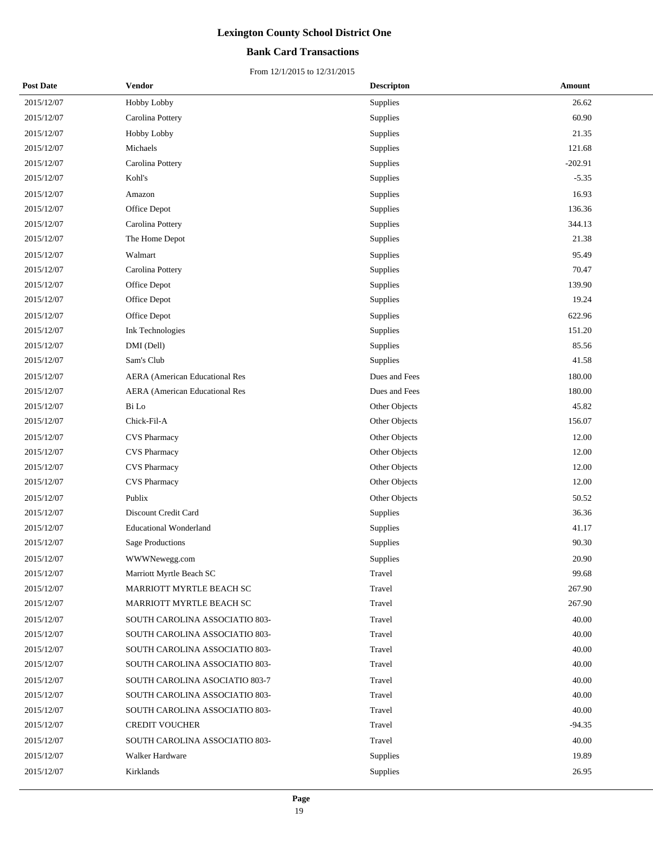## **Bank Card Transactions**

| <b>Post Date</b> | Vendor                                | <b>Descripton</b> | Amount    |
|------------------|---------------------------------------|-------------------|-----------|
| 2015/12/07       | Hobby Lobby                           | Supplies          | 26.62     |
| 2015/12/07       | Carolina Pottery                      | Supplies          | 60.90     |
| 2015/12/07       | Hobby Lobby                           | Supplies          | 21.35     |
| 2015/12/07       | Michaels                              | Supplies          | 121.68    |
| 2015/12/07       | Carolina Pottery                      | Supplies          | $-202.91$ |
| 2015/12/07       | Kohl's                                | Supplies          | $-5.35$   |
| 2015/12/07       | Amazon                                | Supplies          | 16.93     |
| 2015/12/07       | Office Depot                          | Supplies          | 136.36    |
| 2015/12/07       | Carolina Pottery                      | Supplies          | 344.13    |
| 2015/12/07       | The Home Depot                        | Supplies          | 21.38     |
| 2015/12/07       | Walmart                               | Supplies          | 95.49     |
| 2015/12/07       | Carolina Pottery                      | Supplies          | 70.47     |
| 2015/12/07       | Office Depot                          | Supplies          | 139.90    |
| 2015/12/07       | Office Depot                          | Supplies          | 19.24     |
| 2015/12/07       | Office Depot                          | Supplies          | 622.96    |
| 2015/12/07       | Ink Technologies                      | Supplies          | 151.20    |
| 2015/12/07       | DMI (Dell)                            | Supplies          | 85.56     |
| 2015/12/07       | Sam's Club                            | Supplies          | 41.58     |
| 2015/12/07       | <b>AERA</b> (American Educational Res | Dues and Fees     | 180.00    |
| 2015/12/07       | <b>AERA</b> (American Educational Res | Dues and Fees     | 180.00    |
| 2015/12/07       | Bi Lo                                 | Other Objects     | 45.82     |
| 2015/12/07       | Chick-Fil-A                           | Other Objects     | 156.07    |
| 2015/12/07       | <b>CVS Pharmacy</b>                   | Other Objects     | 12.00     |
| 2015/12/07       | <b>CVS Pharmacy</b>                   | Other Objects     | 12.00     |
| 2015/12/07       | <b>CVS</b> Pharmacy                   | Other Objects     | 12.00     |
| 2015/12/07       | CVS Pharmacy                          | Other Objects     | 12.00     |
| 2015/12/07       | Publix                                | Other Objects     | 50.52     |
| 2015/12/07       | Discount Credit Card                  | Supplies          | 36.36     |
| 2015/12/07       | <b>Educational Wonderland</b>         | Supplies          | 41.17     |
| 2015/12/07       | <b>Sage Productions</b>               | Supplies          | 90.30     |
| 2015/12/07       | WWWNewegg.com                         | Supplies          | 20.90     |
| 2015/12/07       | Marriott Myrtle Beach SC              | Travel            | 99.68     |
| 2015/12/07       | MARRIOTT MYRTLE BEACH SC              | Travel            | 267.90    |
| 2015/12/07       | MARRIOTT MYRTLE BEACH SC              | Travel            | 267.90    |
| 2015/12/07       | SOUTH CAROLINA ASSOCIATIO 803-        | Travel            | 40.00     |
| 2015/12/07       | SOUTH CAROLINA ASSOCIATIO 803-        | Travel            | 40.00     |
| 2015/12/07       | SOUTH CAROLINA ASSOCIATIO 803-        | Travel            | 40.00     |
| 2015/12/07       | SOUTH CAROLINA ASSOCIATIO 803-        | Travel            | 40.00     |
| 2015/12/07       | SOUTH CAROLINA ASOCIATIO 803-7        | Travel            | 40.00     |
| 2015/12/07       | SOUTH CAROLINA ASSOCIATIO 803-        | Travel            | 40.00     |
| 2015/12/07       | SOUTH CAROLINA ASSOCIATIO 803-        | Travel            | 40.00     |
| 2015/12/07       | <b>CREDIT VOUCHER</b>                 | Travel            | $-94.35$  |
| 2015/12/07       | SOUTH CAROLINA ASSOCIATIO 803-        | Travel            | 40.00     |
| 2015/12/07       | Walker Hardware                       | Supplies          | 19.89     |
| 2015/12/07       | Kirklands                             | Supplies          | 26.95     |
|                  |                                       |                   |           |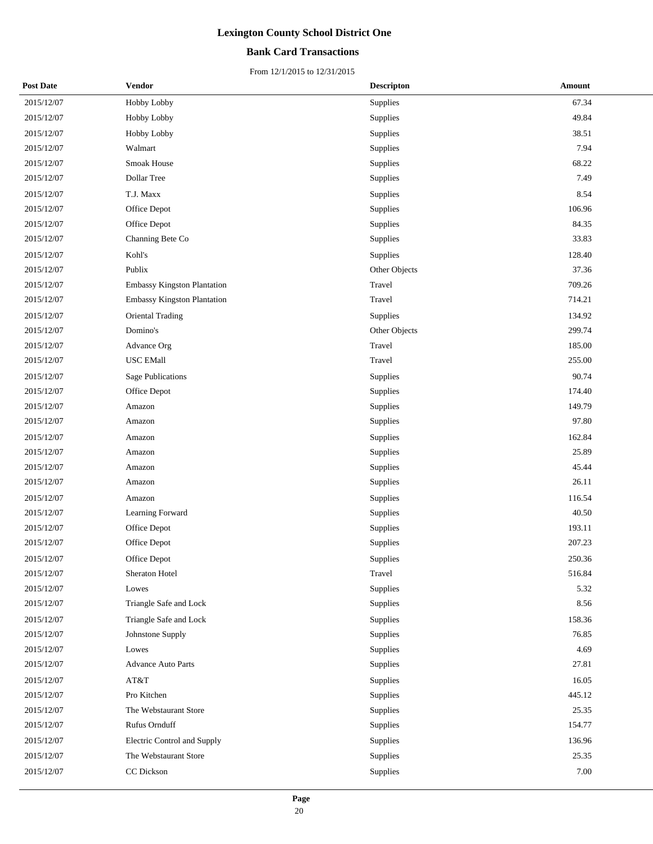## **Bank Card Transactions**

| <b>Post Date</b> | Vendor                      | <b>Descripton</b> | Amount   |
|------------------|-----------------------------|-------------------|----------|
| 2015/12/07       | Hobby Lobby                 | Supplies          | 67.34    |
| 2015/12/07       | Hobby Lobby                 | Supplies          | 49.84    |
| 2015/12/07       | Hobby Lobby                 | Supplies          | 38.51    |
| 2015/12/07       | Walmart                     | Supplies          | 7.94     |
| 2015/12/07       | Smoak House                 | Supplies          | 68.22    |
| 2015/12/07       | Dollar Tree                 | Supplies          | 7.49     |
| 2015/12/07       | T.J. Maxx                   | Supplies          | 8.54     |
| 2015/12/07       | Office Depot                | Supplies          | 106.96   |
| 2015/12/07       | Office Depot                | Supplies          | 84.35    |
| 2015/12/07       | Channing Bete Co            | Supplies          | 33.83    |
| 2015/12/07       | Kohl's                      | Supplies          | 128.40   |
| 2015/12/07       | Publix                      | Other Objects     | 37.36    |
| 2015/12/07       | Embassy Kingston Plantation | Travel            | 709.26   |
| 2015/12/07       | Embassy Kingston Plantation | Travel            | 714.21   |
| 2015/12/07       | Oriental Trading            | Supplies          | 134.92   |
| 2015/12/07       | Domino's                    | Other Objects     | 299.74   |
| 2015/12/07       | Advance Org                 | Travel            | 185.00   |
| 2015/12/07       | <b>USC EMall</b>            | Travel            | 255.00   |
| 2015/12/07       | <b>Sage Publications</b>    | Supplies          | 90.74    |
| 2015/12/07       | Office Depot                | Supplies          | 174.40   |
| 2015/12/07       | Amazon                      | Supplies          | 149.79   |
| 2015/12/07       | Amazon                      | Supplies          | 97.80    |
| 2015/12/07       | Amazon                      | Supplies          | 162.84   |
| 2015/12/07       | Amazon                      | Supplies          | 25.89    |
| 2015/12/07       | Amazon                      | Supplies          | 45.44    |
| 2015/12/07       | Amazon                      | Supplies          | 26.11    |
| 2015/12/07       | Amazon                      | Supplies          | 116.54   |
| 2015/12/07       | Learning Forward            | Supplies          | 40.50    |
| 2015/12/07       | Office Depot                | Supplies          | 193.11   |
| 2015/12/07       | Office Depot                | Supplies          | 207.23   |
| 2015/12/07       | Office Depot                | Supplies          | 250.36   |
| 2015/12/07       | Sheraton Hotel              | Travel            | 516.84   |
| 2015/12/07       | Lowes                       | Supplies          | 5.32     |
| 2015/12/07       | Triangle Safe and Lock      | Supplies          | 8.56     |
| 2015/12/07       | Triangle Safe and Lock      | Supplies          | 158.36   |
| 2015/12/07       | Johnstone Supply            | Supplies          | 76.85    |
| 2015/12/07       | Lowes                       | Supplies          | 4.69     |
| 2015/12/07       | <b>Advance Auto Parts</b>   | Supplies          | 27.81    |
| 2015/12/07       | AT&T                        | Supplies          | 16.05    |
| 2015/12/07       | Pro Kitchen                 | Supplies          | 445.12   |
| 2015/12/07       | The Webstaurant Store       | Supplies          | 25.35    |
| 2015/12/07       | Rufus Ornduff               | Supplies          | 154.77   |
| 2015/12/07       | Electric Control and Supply | Supplies          | 136.96   |
| 2015/12/07       | The Webstaurant Store       | Supplies          | 25.35    |
| 2015/12/07       | CC Dickson                  | Supplies          | $7.00\,$ |
|                  |                             |                   |          |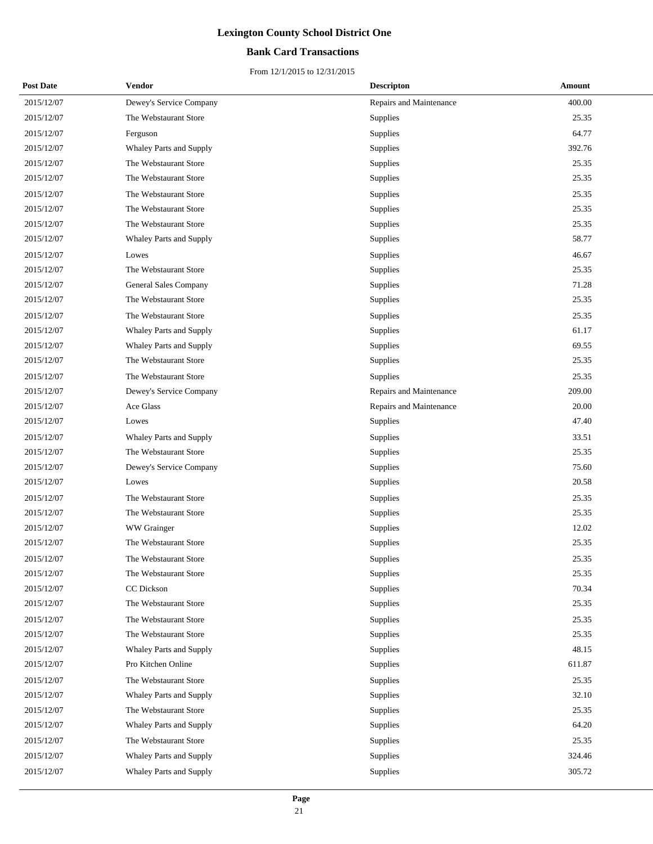### **Bank Card Transactions**

| <b>Post Date</b> | Vendor                  | <b>Descripton</b>       | Amount |
|------------------|-------------------------|-------------------------|--------|
| 2015/12/07       | Dewey's Service Company | Repairs and Maintenance | 400.00 |
| 2015/12/07       | The Webstaurant Store   | Supplies                | 25.35  |
| 2015/12/07       | Ferguson                | Supplies                | 64.77  |
| 2015/12/07       | Whaley Parts and Supply | Supplies                | 392.76 |
| 2015/12/07       | The Webstaurant Store   | Supplies                | 25.35  |
| 2015/12/07       | The Webstaurant Store   | Supplies                | 25.35  |
| 2015/12/07       | The Webstaurant Store   | Supplies                | 25.35  |
| 2015/12/07       | The Webstaurant Store   | Supplies                | 25.35  |
| 2015/12/07       | The Webstaurant Store   | Supplies                | 25.35  |
| 2015/12/07       | Whaley Parts and Supply | Supplies                | 58.77  |
| 2015/12/07       | Lowes                   | Supplies                | 46.67  |
| 2015/12/07       | The Webstaurant Store   | Supplies                | 25.35  |
| 2015/12/07       | General Sales Company   | Supplies                | 71.28  |
| 2015/12/07       | The Webstaurant Store   | Supplies                | 25.35  |
| 2015/12/07       | The Webstaurant Store   | Supplies                | 25.35  |
| 2015/12/07       | Whaley Parts and Supply | Supplies                | 61.17  |
| 2015/12/07       | Whaley Parts and Supply | Supplies                | 69.55  |
| 2015/12/07       | The Webstaurant Store   | Supplies                | 25.35  |
| 2015/12/07       | The Webstaurant Store   | Supplies                | 25.35  |
| 2015/12/07       | Dewey's Service Company | Repairs and Maintenance | 209.00 |
| 2015/12/07       | Ace Glass               | Repairs and Maintenance | 20.00  |
| 2015/12/07       | Lowes                   | Supplies                | 47.40  |
| 2015/12/07       | Whaley Parts and Supply | Supplies                | 33.51  |
| 2015/12/07       | The Webstaurant Store   | Supplies                | 25.35  |
| 2015/12/07       | Dewey's Service Company | Supplies                | 75.60  |
| 2015/12/07       | Lowes                   | Supplies                | 20.58  |
| 2015/12/07       | The Webstaurant Store   | Supplies                | 25.35  |
| 2015/12/07       | The Webstaurant Store   | Supplies                | 25.35  |
| 2015/12/07       | WW Grainger             | Supplies                | 12.02  |
| 2015/12/07       | The Webstaurant Store   | Supplies                | 25.35  |
| 2015/12/07       | The Webstaurant Store   | Supplies                | 25.35  |
| 2015/12/07       | The Webstaurant Store   | Supplies                | 25.35  |
| 2015/12/07       | CC Dickson              | Supplies                | 70.34  |
| 2015/12/07       | The Webstaurant Store   | Supplies                | 25.35  |
| 2015/12/07       | The Webstaurant Store   | Supplies                | 25.35  |
| 2015/12/07       | The Webstaurant Store   | Supplies                | 25.35  |
| 2015/12/07       | Whaley Parts and Supply | Supplies                | 48.15  |
| 2015/12/07       | Pro Kitchen Online      | Supplies                | 611.87 |
| 2015/12/07       | The Webstaurant Store   | Supplies                | 25.35  |
| 2015/12/07       | Whaley Parts and Supply | Supplies                | 32.10  |
| 2015/12/07       | The Webstaurant Store   | Supplies                | 25.35  |
| 2015/12/07       | Whaley Parts and Supply | Supplies                | 64.20  |
| 2015/12/07       | The Webstaurant Store   | Supplies                | 25.35  |
| 2015/12/07       | Whaley Parts and Supply | Supplies                | 324.46 |
| 2015/12/07       | Whaley Parts and Supply | Supplies                | 305.72 |
|                  |                         |                         |        |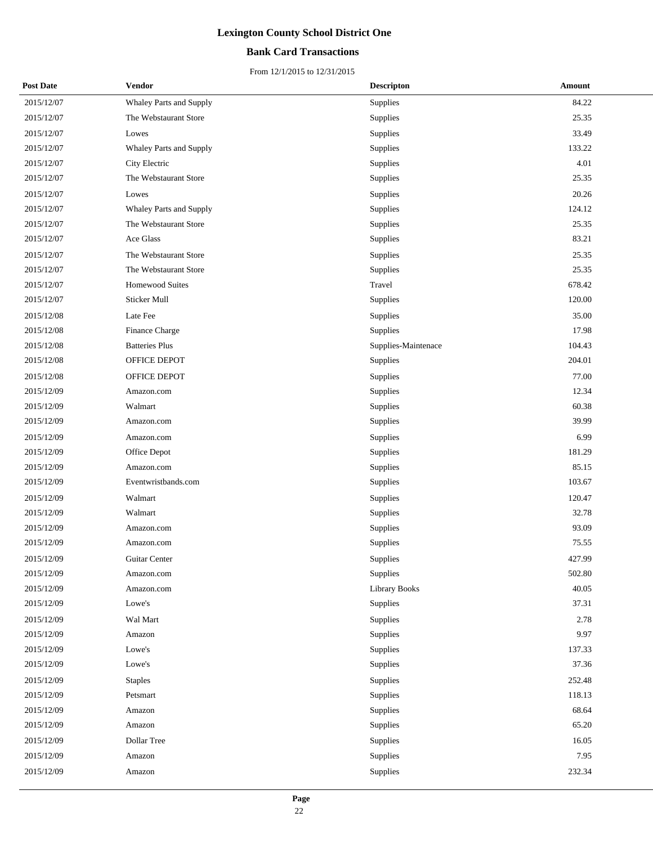## **Bank Card Transactions**

| <b>Post Date</b> | Vendor                  | <b>Descripton</b>    | Amount |
|------------------|-------------------------|----------------------|--------|
| 2015/12/07       | Whaley Parts and Supply | Supplies             | 84.22  |
| 2015/12/07       | The Webstaurant Store   | Supplies             | 25.35  |
| 2015/12/07       | Lowes                   | Supplies             | 33.49  |
| 2015/12/07       | Whaley Parts and Supply | Supplies             | 133.22 |
| 2015/12/07       | City Electric           | Supplies             | 4.01   |
| 2015/12/07       | The Webstaurant Store   | Supplies             | 25.35  |
| 2015/12/07       | Lowes                   | Supplies             | 20.26  |
| 2015/12/07       | Whaley Parts and Supply | Supplies             | 124.12 |
| 2015/12/07       | The Webstaurant Store   | Supplies             | 25.35  |
| 2015/12/07       | Ace Glass               | Supplies             | 83.21  |
| 2015/12/07       | The Webstaurant Store   | Supplies             | 25.35  |
| 2015/12/07       | The Webstaurant Store   | Supplies             | 25.35  |
| 2015/12/07       | <b>Homewood Suites</b>  | Travel               | 678.42 |
| 2015/12/07       | Sticker Mull            | Supplies             | 120.00 |
| 2015/12/08       | Late Fee                | Supplies             | 35.00  |
| 2015/12/08       | Finance Charge          | Supplies             | 17.98  |
| 2015/12/08       | <b>Batteries Plus</b>   | Supplies-Maintenace  | 104.43 |
| 2015/12/08       | OFFICE DEPOT            | Supplies             | 204.01 |
| 2015/12/08       | OFFICE DEPOT            | Supplies             | 77.00  |
| 2015/12/09       | Amazon.com              | Supplies             | 12.34  |
| 2015/12/09       | Walmart                 | Supplies             | 60.38  |
| 2015/12/09       | Amazon.com              | Supplies             | 39.99  |
| 2015/12/09       | Amazon.com              | Supplies             | 6.99   |
| 2015/12/09       | Office Depot            | Supplies             | 181.29 |
| 2015/12/09       | Amazon.com              | Supplies             | 85.15  |
| 2015/12/09       | Eventwristbands.com     | Supplies             | 103.67 |
| 2015/12/09       | Walmart                 | Supplies             | 120.47 |
| 2015/12/09       | Walmart                 | Supplies             | 32.78  |
| 2015/12/09       | Amazon.com              | Supplies             | 93.09  |
| 2015/12/09       | Amazon.com              | Supplies             | 75.55  |
| 2015/12/09       | Guitar Center           | Supplies             | 427.99 |
| 2015/12/09       | Amazon.com              | Supplies             | 502.80 |
| 2015/12/09       | Amazon.com              | <b>Library Books</b> | 40.05  |
| 2015/12/09       | Lowe's                  | Supplies             | 37.31  |
| 2015/12/09       | Wal Mart                | Supplies             | 2.78   |
| 2015/12/09       | Amazon                  | Supplies             | 9.97   |
| 2015/12/09       | Lowe's                  | Supplies             | 137.33 |
| 2015/12/09       | Lowe's                  | Supplies             | 37.36  |
| 2015/12/09       | <b>Staples</b>          | Supplies             | 252.48 |
| 2015/12/09       | Petsmart                | Supplies             | 118.13 |
| 2015/12/09       | Amazon                  | Supplies             | 68.64  |
| 2015/12/09       | Amazon                  | Supplies             | 65.20  |
| 2015/12/09       | Dollar Tree             | Supplies             | 16.05  |
| 2015/12/09       | Amazon                  | Supplies             | 7.95   |
| 2015/12/09       | Amazon                  | Supplies             | 232.34 |
|                  |                         |                      |        |